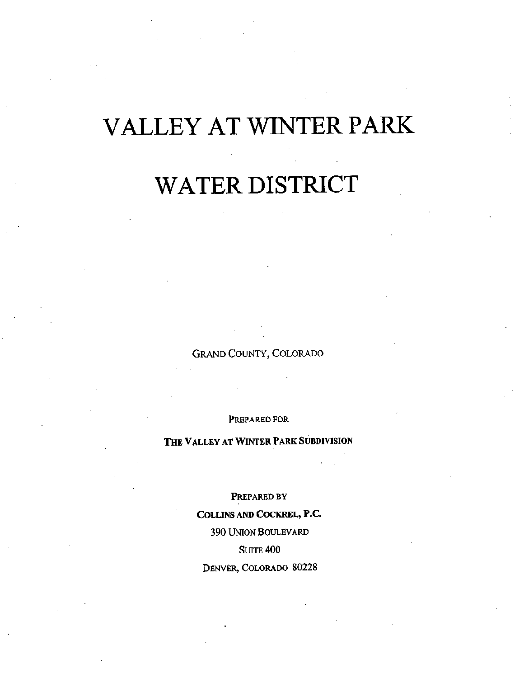# VALLEY AT WINTER PARK

# WATER DISTRICT

Grand County, Colorado

Prepared for

### THE VALLEY AT WINTER PARK SUBDIVISION

Prepared by Collins and Cockrel, P.C. 390 Union Boulevard **SUITE 400** Denver, Colorado 80228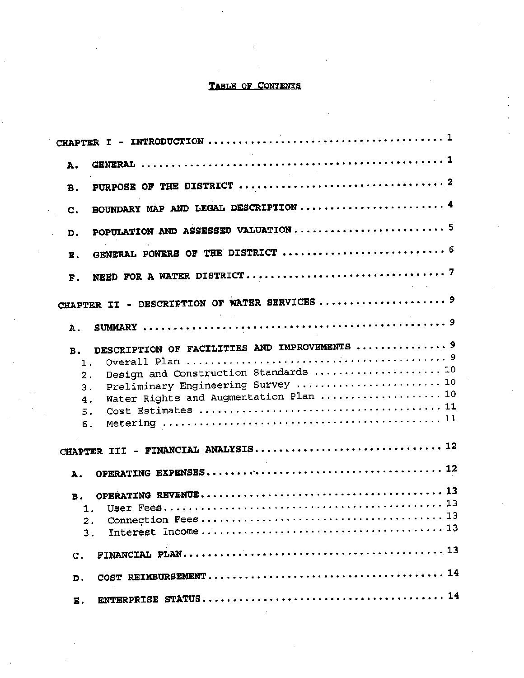### TABLE OF CONTENTS

| А.               |                                               |
|------------------|-----------------------------------------------|
| в.               |                                               |
| $\mathbf{C}$ .   |                                               |
| D.               |                                               |
| Ε.               |                                               |
| F.               |                                               |
|                  |                                               |
| Α.               |                                               |
| в.               | DESCRIPTION OF FACILITIES AND IMPROVEMENTS  9 |
| 1.               |                                               |
| 2.               | Design and Construction Standards  10         |
| 3.               | Preliminary Engineering Survey  10            |
| 4.               | Water Rights and Augmentation Plan  10        |
| 5.               |                                               |
| б.               |                                               |
|                  |                                               |
| А.               |                                               |
| в.               |                                               |
| 1.               |                                               |
| $\overline{2}$ . |                                               |
| 3.               |                                               |
| c.               |                                               |
| D.               |                                               |
| E.               |                                               |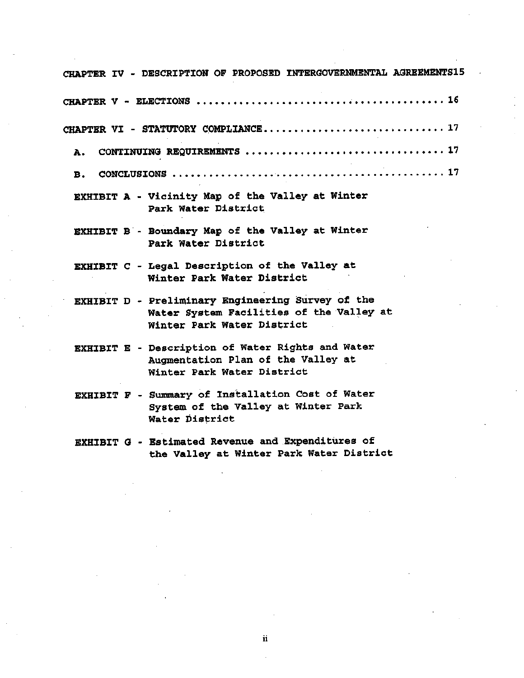| CHAPTER IV - DESCRIPTION OF PROPOSED INTERGOVERNMENTAL AGREEMENTS15                                                         |
|-----------------------------------------------------------------------------------------------------------------------------|
|                                                                                                                             |
| CHAPTER VI - STATUTORY COMPLIANCE 17                                                                                        |
| A.,                                                                                                                         |
| в.                                                                                                                          |
| EXHIBIT A - Vicinity Map of the Valley at Winter<br>Park Water District                                                     |
| EXHIBIT B - Boundary Map of the Valley at Winter<br>Park Water District                                                     |
| EXHIBIT C - Legal Description of the Valley at<br>Winter Park Water District                                                |
| EXHIBIT D - Preliminary Engineering Survey of the<br>Water System Facilities of the Valley at<br>Winter Park Water District |
| EXHIBIT E - Description of Water Rights and Water<br>Augmentation Plan of the Valley at<br>Winter Park Water District       |
| EXHIBIT F - Summary of Installation Cost of Water<br>System of the Valley at Winter Park<br>Water District                  |
| <b>EXHIBIT G - Estimated Revenue and Expenditures of</b><br>the Valley at Winter Park Water District                        |

ii

 $\cdot$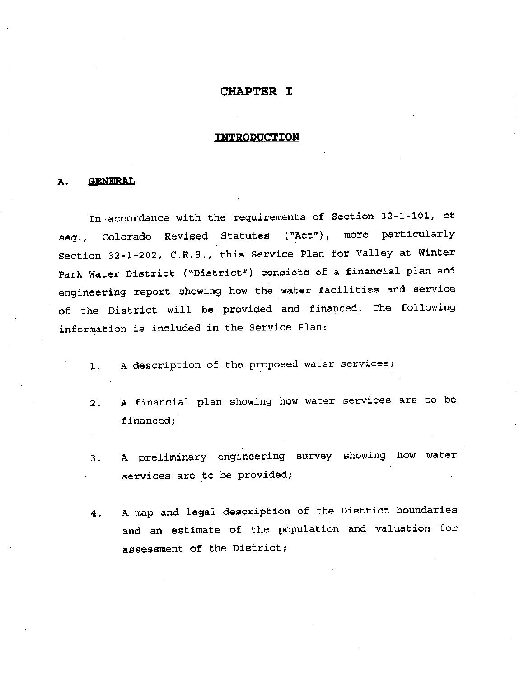### CHAPTER I

### INTRODUCTION

### A. GENERAL

In accordance with the requirements of Section 32-1-101., et seg. , Colorado Revised Statutes ("Act"), more particularly Section 32-1-202, C.R.S., this Service Plan for Valley at Winter Park Water District ("District") consists of <sup>a</sup> financial plan and engineering report showing how the water facilities and service of the District will be provided and financed. The following information is included in the Service Plan:

- 1. A description of the proposed water services;
- A financial plan showing how water services are to be financed; 2 .
- A preliminary engineering survey showing how water services are to be provided; 3 .
- A map and legal description of the District boundaries and an estimate of the population and valuation for assessment of the District; 4 .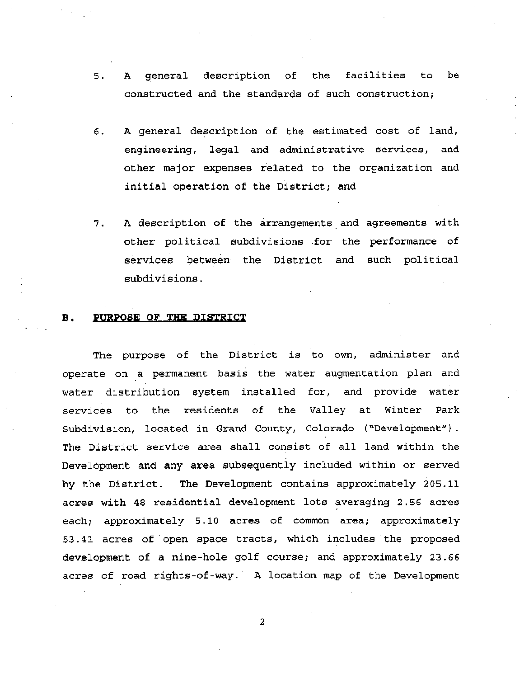- 5. <sup>A</sup> general description of the facilities to be constructed and the standards of such construction;
- A general description of the estimated cost of land, engineering, legal and administrative services, and other major expenses related to the organization and initial operation of the District; and 6.
- A description of the arrangements and agreements with other political subdivisions .for the performance of services between the District and such political subdivisions.  $7.7$

### B. PURPOSE OF THE DISTRICT

The purpose of the District is to own, administer and operate on a permanent basis the water augmentation plan and water distribution system installed for, and provide water services to the residents of the Valley at Winter Park Subdivision, located in Grand County, Colorado ("Development"). The District service area shall consist of all land within the Development and any area subsequently included within or served by the District. The Development contains approximately 205.11 acres with <sup>48</sup> residential development lots averaging 2.56 acres each; approximately 5.10 acres of common area; approximately 53.41 acres of open space tracts, which includes the proposed development of <sup>a</sup> nine-hole golf course; and approximately 23.66 acres of road rights-of-way. A location map of the Development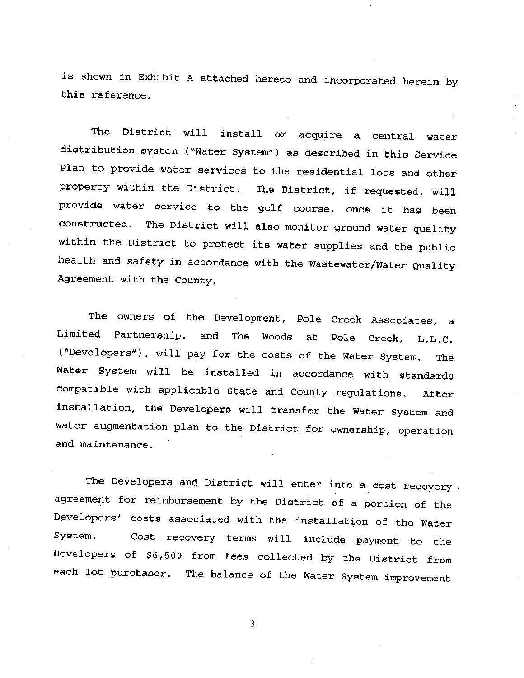is shown in Exhibit <sup>A</sup> attached hereto and incorporated herein by this reference.

The District will install or acquire <sup>a</sup> central water distribution system ("Water System") as described in this Service Plan to provide water services to the residential lots and other property within the District. The District, if requested, will provide water service to the golf course, once it has been constructed. The District will also monitor ground water quality within the District to protect its water supplies and the public health and safety in accordance with the Wastewater/Water Quality Agreement with the County.

The owners of the Development, Pole Creek Associates, <sup>a</sup> Limited Partnership, and The Woods at Pole Creek, L.L.C. ("Developers"), will pay for the costs of the Water System. The Water System will be installed in accordance with standards compatible with applicable State and County regulations. After installation, the Developers will transfer the Water System and water augmentation plan to the District for ownership, operation and maintenance .

The Developers and District will enter into a cost recovery agreement for reimbursement by the District of <sup>a</sup> portion of the Developers' costs associated with the installation of the Water System. Developers of \$6,500 from fees collected by the District from each lot purchaser. The balance of the Water System improvement Cost recovery terms will include payment to the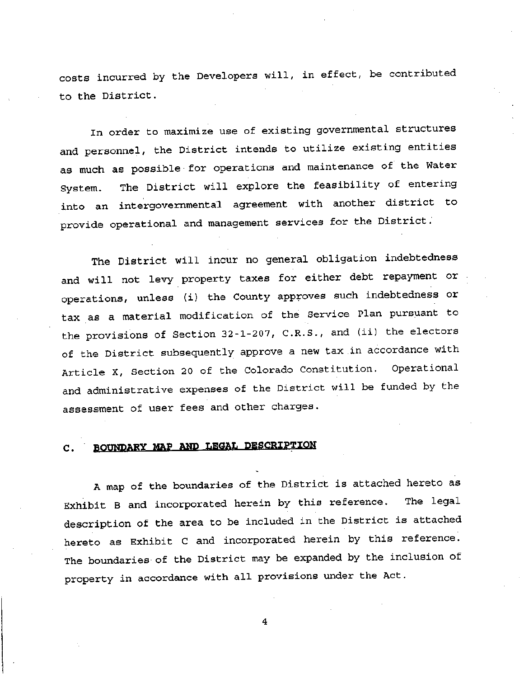costs incurred by the Developers will, in effect, be contributed to the District.

In order to maximize use of existing governmental structures and personnel, the District intends to utilize existing entities as much as possible for operations and maintenance of the Water The District will explore the feasibility of entering into an intergovernmental agreemen<sup>t</sup> with another district to provide operational and managemen<sup>t</sup> services for the District. System.

The District will incur no genera<sup>l</sup> obligation indebtedness and will not levy property taxes for either debt repayment or operations, unless (i) the County approves such indebtedness or tax as <sup>a</sup> material modification of the Service Plan pursuan<sup>t</sup> to the provisions of Section 32-1-207, C.R.S., and (ii) the electors of the District subsequently approve <sup>a</sup> new tax in accordance with Article X, Section <sup>20</sup> of the Colorado Constitution. Operational and administrative expenses of the District will be funded by the assessment of user fees and other charges.

### C. BOUNDARY MAP AND LEGAL DESCRIPTION

A map of the boundaries of the District is attached hereto as Exhibit <sup>B</sup> and incorporated herein by this reference. The legal description of the area to be included in the District is attached hereto as Exhibit <sup>C</sup> and incorporated herein by this reference. The boundaries of the District may be expanded by the inclusion of property in accordance with all provisions under the Act.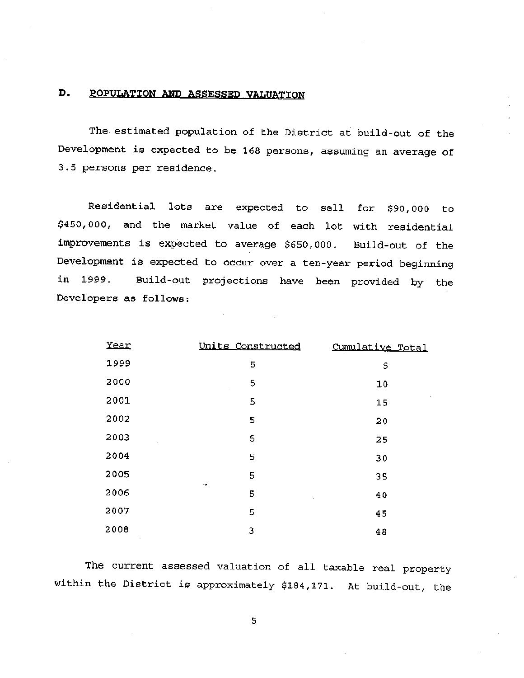### D. POPULATION AND ASSESSED VALUATION

The estimated population of the District at build-out of the Development is expected to be <sup>168</sup> persons, assuming an average of 3.5 persons per residence.

Residential lots are expected to sell for \$90,000 to \$450,000, and the market value of each lot with residential improvements is expected to average \$650,000. Build-out of the Development is expected to occur over <sup>a</sup> ten-year period beginning Build-out projections have been provided by the in 1999. Developers as follows:

| Year       | Units Constructed  | Cumulative Total |
|------------|--------------------|------------------|
| 1999       | 5                  | 5                |
| 2000       | 5<br>÷,            | 10               |
| 2001       | 5                  | 15               |
| 2002       | 5                  | 20               |
| 2003<br>Ŷ. | 5                  | 25               |
| 2004       | 5                  | 30               |
| 2005       | 5                  | 35               |
| 2006       | $\mathcal{C}$<br>5 | 40               |
| 2007       | 5                  | 45               |
| 2008       | 3                  | 48               |

The current assessed valuation of all taxable real property within the District is approximately \$184,171. At build-out, the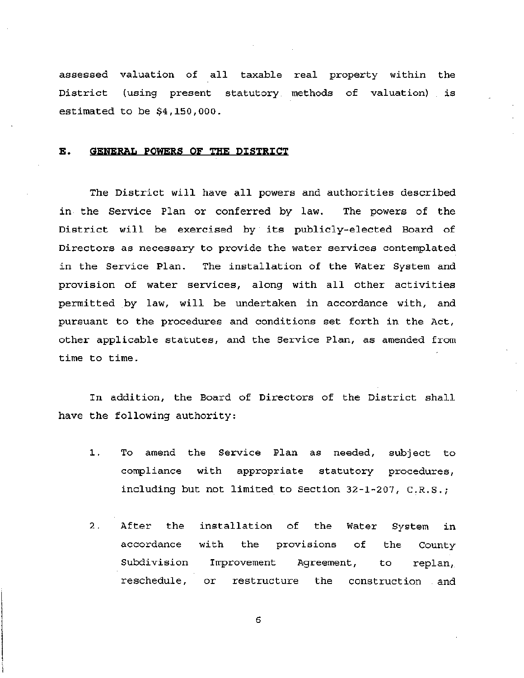assessed valuation of all taxable real property within the District (using present statutory methods of valuation) is estimated to be \$4,150,000.

### E. GENERAL POWERS OF THE DISTRICT

The District will have all powers and authorities described The powers of the District will be exercised by its publicly-elected Board of Directors as necessary to provide the water services contemplated The installation of the Water System and provision of water services, along with all other activities permitted by law, will be undertaken in accordance with, and pursuant to the procedures and conditions set forth in the Act, other applicable statutes, and the Service Plan, as amended from time to time. in the Service Plan or conferred by law. in the Service Plan.

In addition, the Board of Directors of the District shall have the following authority:

- To amend the Service Plan as needed, subject to compliance with appropriate statutory procedures, including but not limited to Section 32-1-207, C.R.S.; 1.
- 2. After the installation of the Water System in accordance with the provisions of the County Subdivision Improvement Agreement, to replan,. reschedule, or restructure the construction and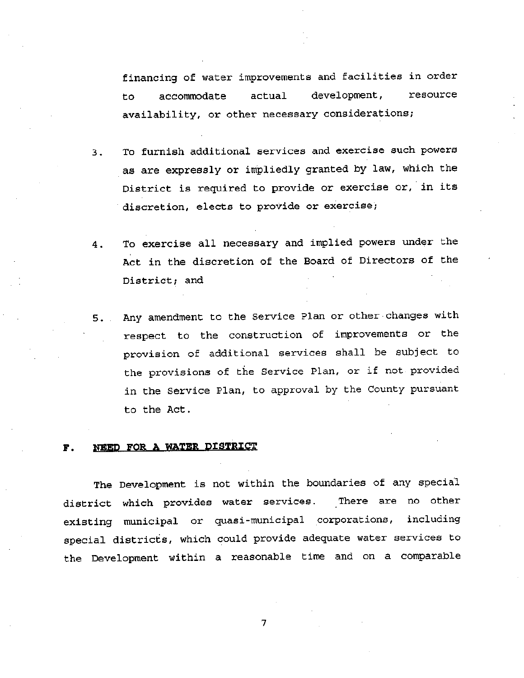financing of water improvements and facilities in order development , availability, or other necessary considerations; to accommodate actual development, resource

- To furnish additional services and exercise such powers as are expressly or impliedly granted by law, which the District is required to provide or exercise or, in its discretion, elects to provide or exercise; 3 .
- To exercise all necessary and implied powers under the Act in the discretion of the Board of Directors of the District; and 4 .
- 5. Any amendment to the Service Plan or other changes with respect to the construction of improvements or the provision of additional services shall be subject to the provisions of the Service Plan, or if not provided in the Service Plan, to approva<sup>l</sup> by the County pursuan<sup>t</sup> to the Act .

### F. NEED FOR A WATER DISTRICT

The Development is not within the boundaries of any special district which provides water services, existing municipal or quasi -municipal corporations, including special districts, which could provide adequate water services to the Development within <sup>a</sup> reasonable time and on <sup>a</sup> comparable There are no other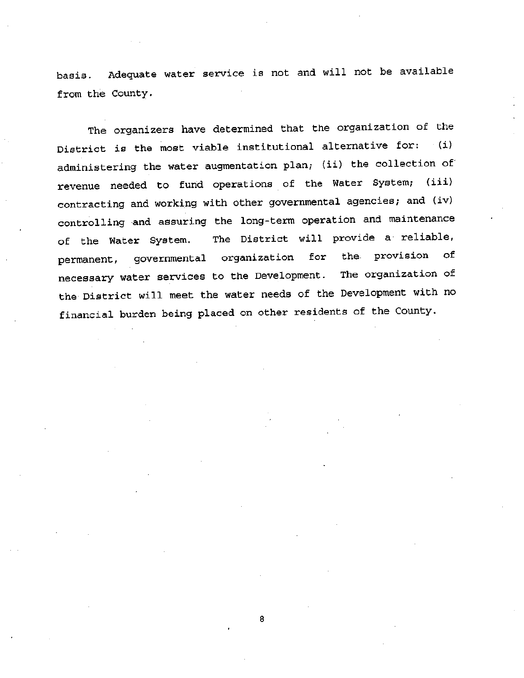basis. Adequate water service is not and will not be available from the County.

The organizers have determined that the organization of the District is the most viable institutional alternative for: (i) administering the water augmentation plan; (ii) the collection of revenue needed to fund operations of the Water System; (iii) contracting and working with other governmental agencies; and (iv) controlling and assuring the long-term operation and maintenance of the Water System. The District will provide <sup>a</sup> reliable, permanent, governmental organization for the provision of necessary water services to the Development. The organization of the District will meet the water needs of the Development with no financial burden being placed on other residents of the County.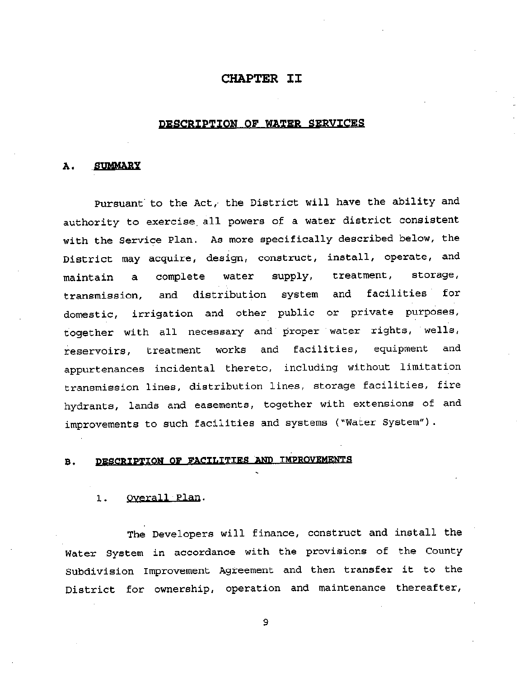### CHAPTER II

### DESCRIPTION OF WATER SERVICES

### A. SUMMARY

Pursuant' to the Act,' the District will have the ability and authority to exercise all powers of <sup>a</sup> water district consistent with the Service Plan. As more specifically described below, the District may acquire, design, construct, install, operate, and maintain <sup>a</sup> complete water supply, treatment, storage, transmission, and distribution system and facilities for domestic, irrigation and other public or private purposes, together with all necessary and proper water rights, wells, reservoirs, treatment works and facilities, equipment and appurtenances incidental thereto, including without limitation transmission lines, distribution lines, storage facilities, fire hydrants, lands and easements, together with extensions of and improvements to such facilities and systems ("Water System") .

### B. DESCRIPTION OP FACILITIES AND IMPROVEMENTS

#### 1. Overall Plan.

The Developers will finance, construct and install the Water System in accordance with the provisions of the County Subdivision Improvement Agreement and then transfer it to the District for ownership, operation and maintenance thereafter,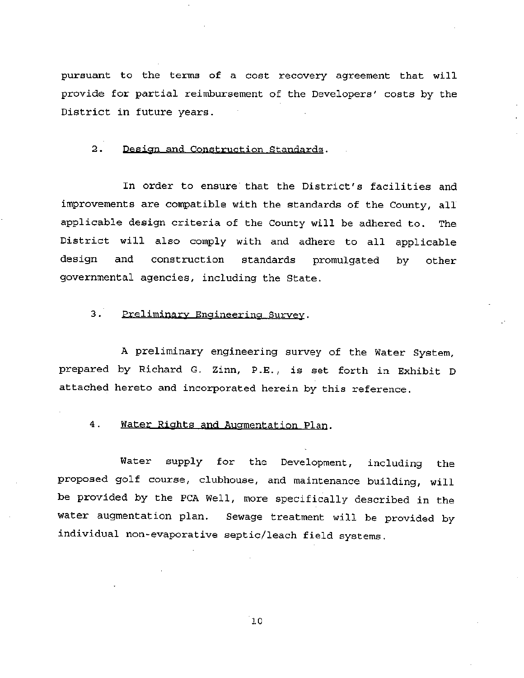pursuant to the terms of <sup>a</sup> cost recovery agreement that will provide for partial reimbursement of the Developers' costs by the District in future years.

### 2. Design and Construction Standards.

In order to ensure that the District's facilities and improvements are compatible with the standards of the County, all applicable design criteria of the County will be adhered to. The District will also comply with and adhere to all applicable design and construction standards promulgated by other governmental agencies, including the State.

### 3. Preliminary Engineering Survey.

<sup>A</sup> preliminary engineering survey of the Water System, prepared by Richard G. Zinn, P.E., is set forth in Exhibit D attached hereto and incorporated herein by this reference.

### 4. Water Rights and Augmentation Plan.

Water supply for the Development, including the proposed golf course, clubhouse, and maintenance building, will be provided by the PCA Well, more specifically described in the water augmentation plan. Sewage treatment will be provided by individual non-evaporative septic/leach field systems.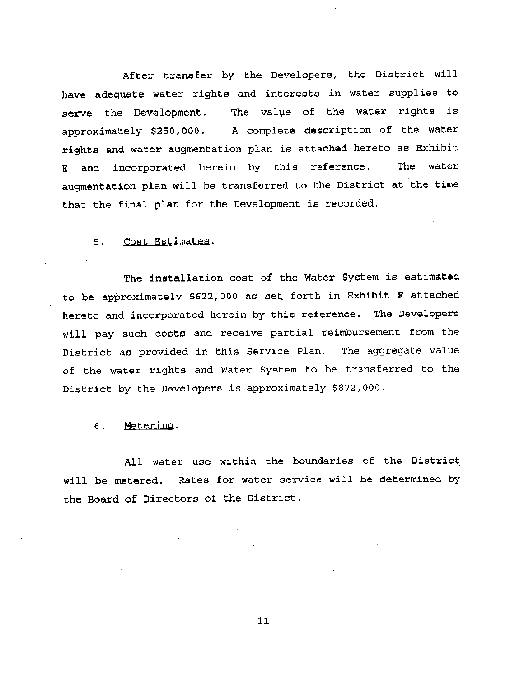After transfer by the Developers, the District will have adequate water rights and interests in water supplies to serve the Development . The value of the water rights is approximately \$250,000. A complete description of the water rights and water augmentation plan is attached hereto as Exhibit E and incorporated herein by this reference, augmentation plan will be transferred to the District at the time that the final plat for the Development is recorded. The water

### 5 . Cost Estimates.

The installation cost of the Water System is estimated to be approximately \$622,000 as set forth in Exhibit <sup>F</sup> attached hereto and incorporated herein by this reference. The Developers will pay such costs and receive partial reimbursement from the District as provided in this Service Plan, The aggregate value of the water rights and Water System to be transferred to the District by the Developers is approximately \$872,000.

### 6. Metering.

All water use within the boundaries of the District will be metered. Rates for water service will be determined by the Board of Directors of the District.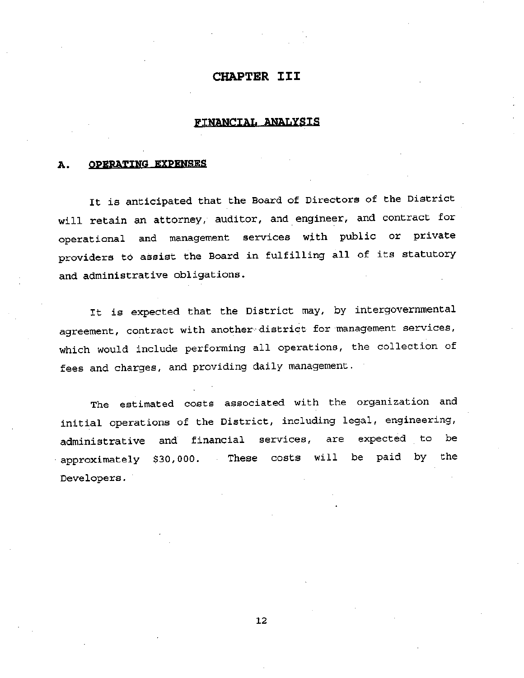### CHAPTER III

### FINANCIAL ANALYSIS

### A. OPERATING EXPENSES

It is anticipated that the Board of Directors of the District will retain an attorney, auditor, and engineer, and contract for operational and managemen<sup>t</sup> services with public or private providers to assist the Board in fulfilling all of its statutory and administrative obligations.

It is expected that the District may, by intergovernmental agreement, contract with another- district for managemen<sup>t</sup> services, which would include performing all operations, the collection of fees and charges, and providing daily management.

The estimated costs associated with the organization and initial operations of the District, including legal, engineering, administrative and financial services, are expected to be  $approximately$  \$30,000. These costs will be paid by the Developers .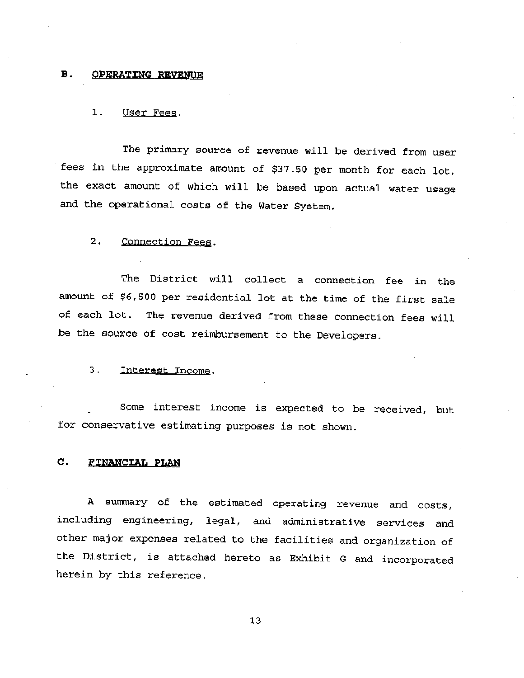### B. OPERATING REVENUE

### 1. User Fees.

The primary source of revenue will be derived from user fees in the approximate amount of \$37.50 per month for each lot, the exact amount of which will be based upon actual water usage and the operational costs of the Water System.

### 2. Connection Fees.

The District will collect <sup>a</sup> connection fee in the amount of \$6,500 per residential lot at the time of the first sale of each lot. The revenue derived from these connection fees will be the source of cost reimbursement to the Developers .

### 3. Interest Income.

Some interest income is expected to be received, but for conservative estimating purposes is not shown.

### C. FINANCIAL PLAN

<sup>A</sup> summary of the estimated operating revenue and costs, including engineering, legal, and administrative services and other major expenses related to the facilities and organization of the District, is attached hereto as Exhibit <sup>G</sup> and incorporated herein by this reference.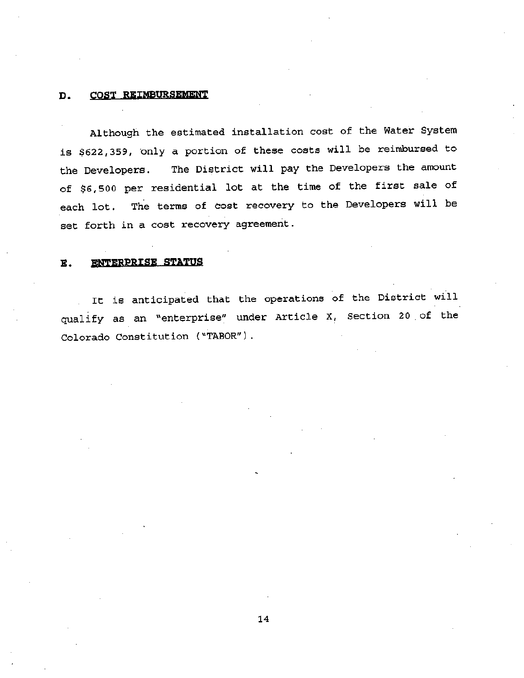### D. COST REIMBURSEMENT

Although the estimated installation cost of the Water System is \$622,359, only <sup>a</sup> portion of these costs will be reimbursed to the Developers. The District will pay the Developers the amount of \$6,500 per residential lot at the time of the first sale of each lot. The terms of cost recovery to the Developers will be set forth in <sup>a</sup> cost recovery agreement .

### E. ENTERPRISE STATUS

It is anticipated that the operations of the District will qualify as an "enterprise" under Article X, Section 20 of the Colorado Constitution ("TABOR").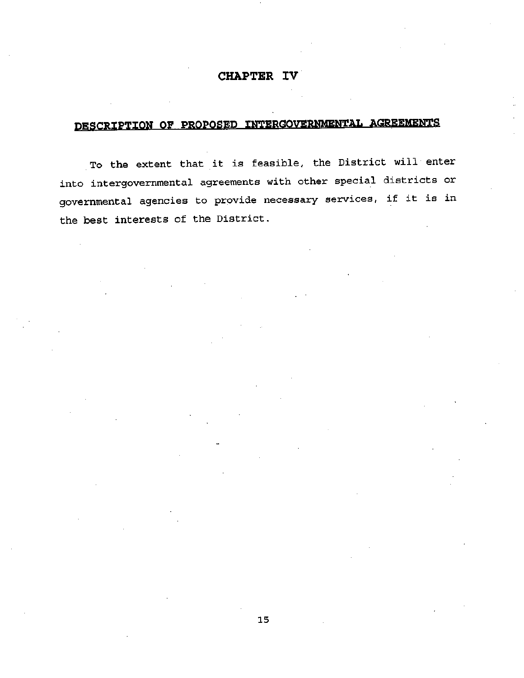### CHAPTER IV

## DESCRIPTION OF PROPOSED INTERGOVERNMENTAL AGREEMENTS

To the extent that it is feasible, the District will enter into intergovernmental agreements with other special districts or governmental agencies to provide necessary services, if it is in the best interests of the District.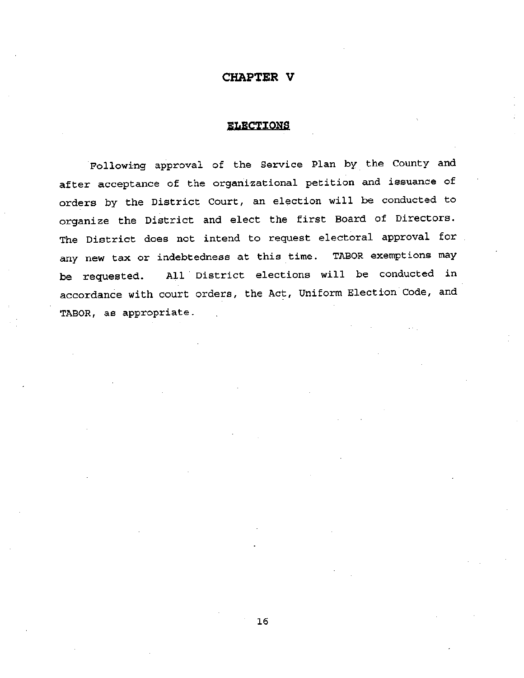### CHAPTER V

### ELECTIONS

Following approva<sup>l</sup> of the Service Plan by the County and after acceptance of the organizational petition and issuance of orders by the District Court, an election will be conducted to organize the District and elect the first Board of Directors. The District does not intend to request electoral approva<sup>l</sup> for any new tax or indebtedness at this time. TABOR exemptions may be requested. All District elections will be conducted in accordance with court orders, the Act, Uniform Election Code, and TABOR, as appropriate. .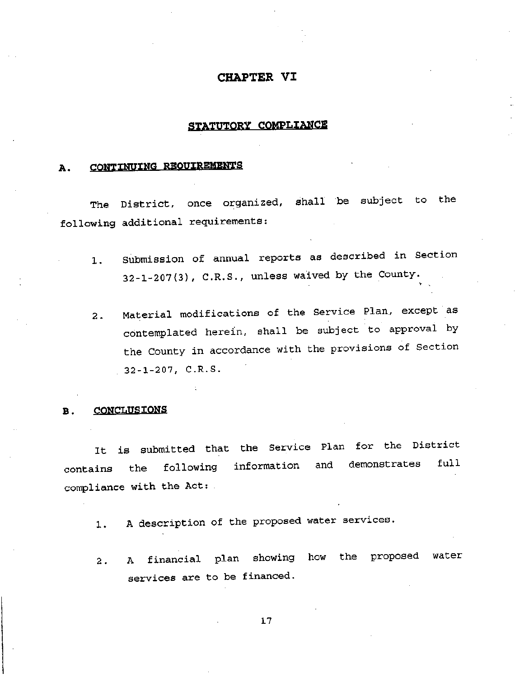### CHAPTER VI

### STATUTORY COMPLIANCE

### A. CONTINUING REQUIREMENTS

The District, once organized, shall be subject to the following additional requirements:

- Submission of annual reports as described in Section  $32-1-207(3)$ , C.R.S., unless waived by the County. 1 .
- Material modifications of the Service Plan., except as contemplated herein, shall be subject to approva<sup>l</sup> by the County in accordance with the provisions of Section 32-1-207, C.R.S. ' 2 .

### B. CONCLUSIONS

It is submitted that the Service Plan for the District contains the following information and demonstrates full compliance with the Act:

- 1. A description of the proposed water services.
- A financial plan showing how the propose<sup>d</sup> water services are to be financed. 2 .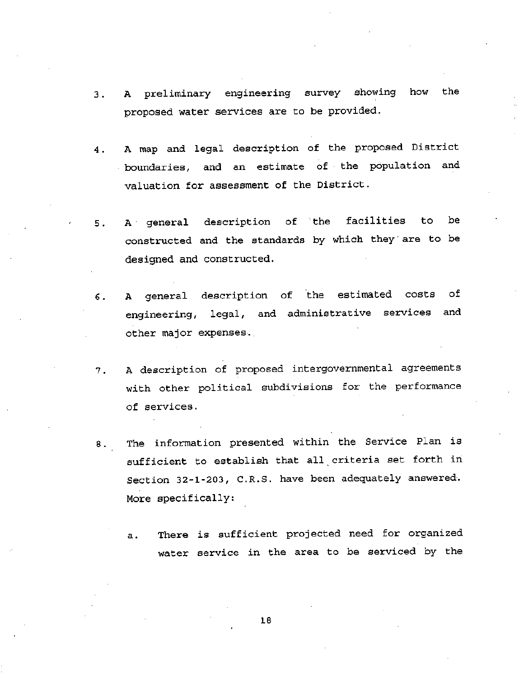- A preliminary engineering survey showing how the proposed water services are to be provided. 3 .
- A map and legal description of the proposed District boundaries, and an estimate of the population and valuation for assessment of the District. 4 .
- A genera<sup>l</sup> description of the facilities to be constructed and the standards by which they' are to be designed and constructed. 5 .
- A genera<sup>l</sup> description of the estimated costs of engineering, legal, and administrative services and 6. other major expenses.
- A description of proposed intergovernmental agreements with other political subdivisions for the performance of services. 7 .
- 8. The information presented within the Service Plan is sufficient to establish that all criteria set forth in Section 32-1-203, C.R.S. have been adequately answered. More specifically:
	- There is sufficient projected need for organized water service in the area to be serviced by the a .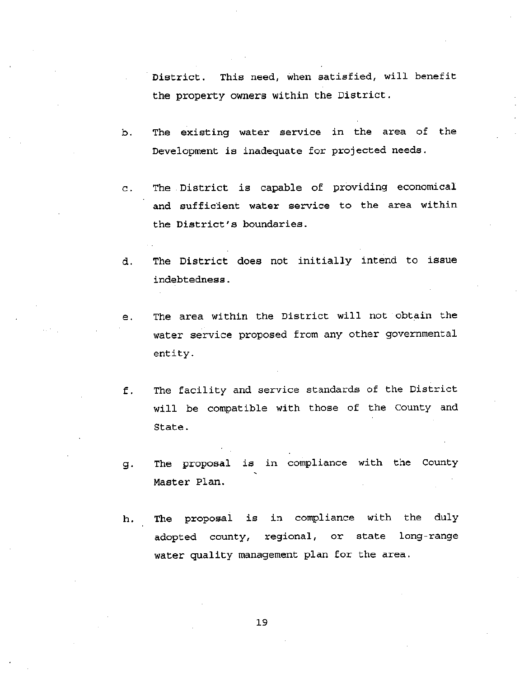District. This need, when satisfied, will benefit the property owners within the District .

- b. The existing water service in the area of the Development is inadequate for projected needs.
- c. The District is capable of providing economical and sufficient water service to the area within the District's boundaries.
- d. The District does not initially intend to issue indebtedness .
- The area within the District will not obtain the water service proposed from any other governmental entity. e .
- The facility and service standards of the District will be compatible with those of the County and State . f .
- The proposal is in compliance with the County Master Plan. 9-
- The proposal is in compliance with the duly adopted county, regional, or state long-range water quality management plan for the area. h.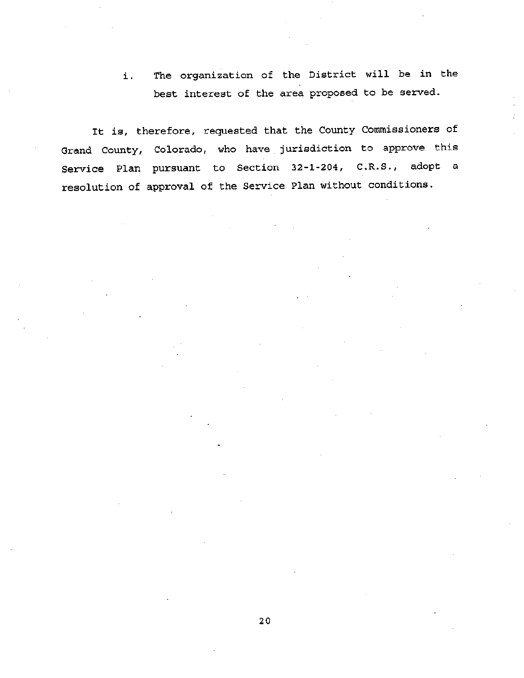i. The organization of the District will be in the best interest of the area proposed to be served.

It is, therefore, requested that the County Commissioners of Grand County, Colorado, who have jurisdiction to approve this Service Plan pursuan<sup>t</sup> to Section 32-1-204, C.R.S., adopt <sup>a</sup> resolution of approva<sup>l</sup> of the Service Plan without conditions.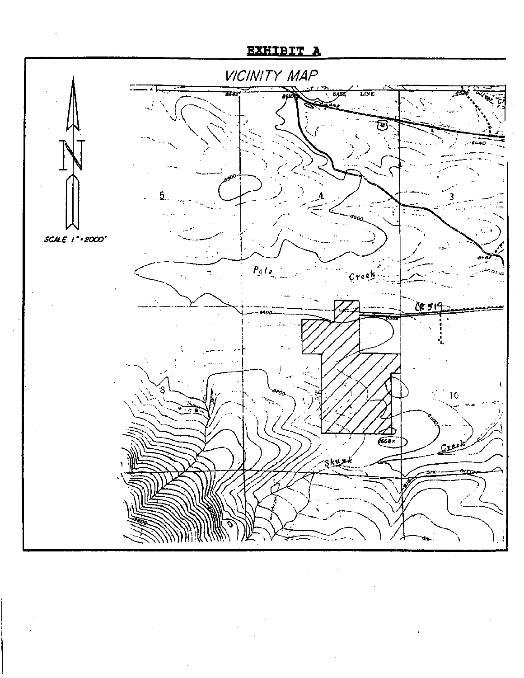## EXHIBIT A

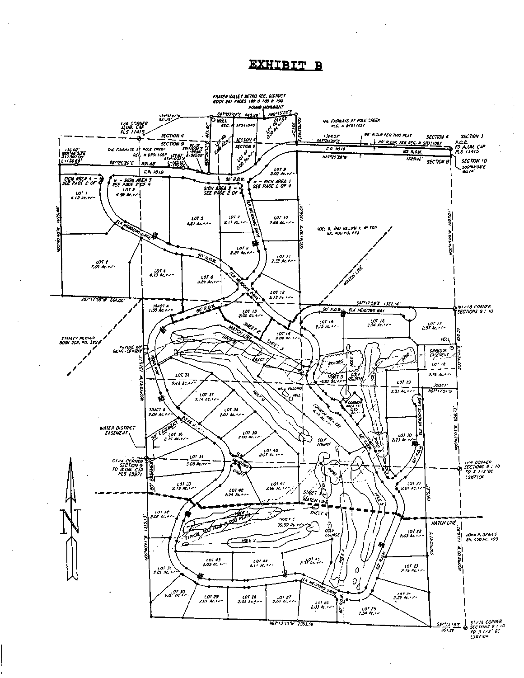EXHIBIT B

![](_page_24_Figure_1.jpeg)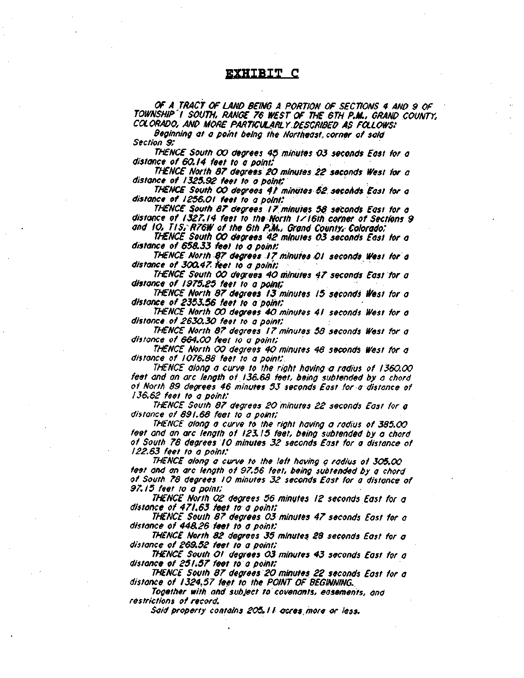### EXHIBIT C

OF A TRACT OF LAND BEING A PORTION OF SECTIONS 4 AND 9 OF TOWNSHIP T SOUTH RANGE 76 WEST OF THE 6TH P.M., GRAND COUNTY. COLORADO. AND MORE PARTICULARLY DESCRIBED AS FOLLOWS:

Beginning at <sup>a</sup> point being the Northeast, corner of said Section 9:

THENCE South 00 degrees 45 minutes 03 seconds East for <sup>a</sup> distance of 60.14 feet to <sup>a</sup> point:

THENCE North 87 degrees 20 minutes 22 seconds West for <sup>a</sup> distance of 1325.92 feet to <sup>a</sup> point:

THENCE South 00 degrees 4t minutes 52 secohds East for <sup>a</sup> distance of 1256.01 feet to <sup>a</sup> point:

THENCE South 87 degrees ! 7 minutes 58 seconds East for <sup>a</sup> distance of 1327.14 feet to the North 1/16th corner of Sections 9 and 10. T/S, R76W of the 6th P.M.. Grand County. Colorado:

THENCE South 00 degrees 42 minutes 03 seconds East for <sup>a</sup> distance of 658.33 feet to <sup>a</sup> point:

THENCE North 27 degrees 17 minutes 01 seconds West for <sup>a</sup> distance of 300.47. Feet to <sup>a</sup> point:

THENCE South 00 degrees 40 minutes 47 seconds East for <sup>a</sup> distance of 1975.25 feet to a point;

THENCE North 87 degrees 13 minutes 15 seconds West for <sup>a</sup> distance of 2353.56 feet to <sup>a</sup> point:

THENCE North 00 degrees 40 minutes 41 seconds West for <sup>a</sup> distance of 2630.30 feet to <sup>a</sup> point:

THENCE North 87 degrees 17 minutes 58 seconds West for <sup>a</sup> distance of 664.00 feet to <sup>a</sup> point:

THENCE North 00 degrees 40 minutes 48 seconds West for <sup>a</sup> distance of 1076.88 feet to <sup>a</sup> point:

THENCE along <sup>a</sup> curve to the right having <sup>a</sup> radius of 1360.00 feet and an arc length of 136.68 feet, being subtended by <sup>a</sup> chord of North 89 degrees 46 minutes 53 seconds East for <sup>a</sup> distance of 136.62 feet to <sup>a</sup> point:

THENCE South 87 degrees 20 minutes 22 seconds East for <sup>a</sup> distance of 891.68 feet to <sup>a</sup> point:

THENCE along <sup>a</sup> curve to the right having <sup>a</sup> radius of 385.00 feet and an arc length of 123. <sup>15</sup> feet, being subtended by <sup>a</sup> chord of South 78 degrees 10 minutes 32 seconds East for <sup>a</sup> distance of 122.63 feet to <sup>a</sup> point:

THENCE along a curve to the left having a radius of 305.00 feet and an arc length of 97.56 feet, being subtended by <sup>a</sup> chord of South 78 degrees 10 minutes 32 seconds East for <sup>a</sup> distance of 97. 15 feet to <sup>a</sup> point:

THENCE North 02 degrees 56 minutes 12 seconds East for <sup>a</sup> distance of 471.63 feet to <sup>a</sup> point:

THENCE South 87 degrees 03 minutes 47 seconds East for <sup>a</sup> distance of 448.26 feet to <sup>a</sup> point:

THENCE North 82 degrees 35 minutes 28 seconds East for <sup>a</sup> distance of 269.52 feet to <sup>a</sup> point:

THENCE South Oi degrees 03 minutes 43 seconds East for <sup>a</sup> distance of 251.57 feet to <sup>a</sup> point:

THENCE South 87 degrees 20 minutes 22 seconds East for <sup>a</sup> distance of 1324,57 feet to the POINT OF BEGINNING.

Together with and subject to covenants, easements, and restrictions of record.

Said property contains 205.1 i ceres, more or less.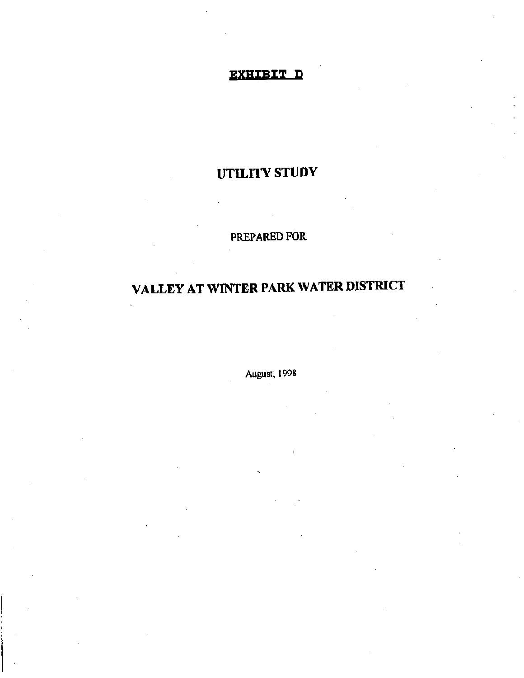## EXHIBIT D

## UTILITY STUDY

## PREPARED FOR

## VALLEY AT WINTER PARK WATER DISTRICT

August, 1098

)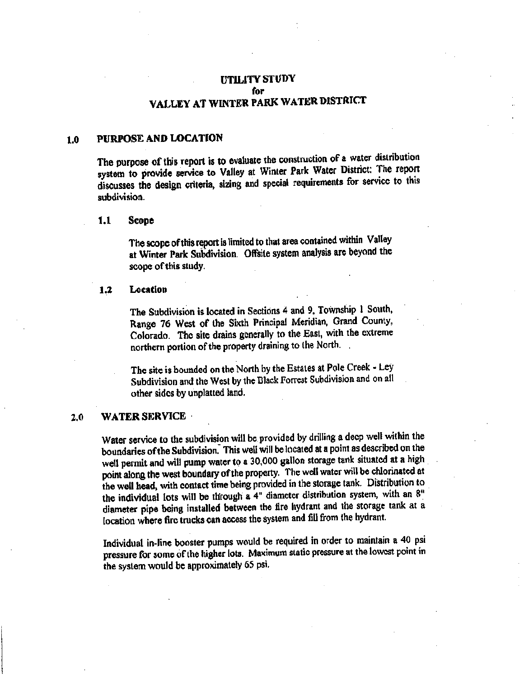### UTILITY STUDY for VALLEY AT WINTER PARK WATER DISTRICT

### 1.0 PURPOSE AND LOCATION

The purpose of this report is to evaluate the construction of a water distribution system to provide service to Valley at Winter Park Water District: The report discusses the design criteria, sizing and special requirements for service to this subdivision.

#### Scope l.l

The scope ofthis report is limited to that area contained within Valley at Winter Park Subdivision. Offsite system analysis are beyond the scope of this study.

### 1.2 Location

The Subdivision is located in Sections <sup>4</sup> and 9, Township <sup>1</sup> South, Range <sup>76</sup> West of the Sixth Principal Meridian, Grand County, Colorado. The site drains generally to the East, with the extreme northern portion of the property draining to the North.

The site is bounded on the North by the Estates at Pole Creek - Ley Subdivision and the West by the Black Forrest Subdivision and on all other sides by unplatted land.

### 2.0 WATER SERVICE

Water service to the subdivision will be provided by drilling <sup>a</sup> deep well within the boundaries ofthe Subdivision. This well will be located at <sup>a</sup> point as described on the well permit and will pump water to <sup>a</sup> 30,000 gallon storage tank situated at <sup>a</sup> high point along the west boundary of the property. The well water will be chlorinated at the well head, with contact time being provided in the storage tank. Distribution to the individual lots will be through <sup>a</sup> 4" diameter distribution system, with an 8" diameter pipe being installed between the fire hydrant and the storage tank at <sup>a</sup> location where fire trucks can access the system and fill from the hydrant.

Individual in-line booster pumps would be required in order to maintain <sup>a</sup> <sup>40</sup> psi pressure for some ofthe higher lots. Maximum static pressure at the lowest point in the system would be approximately <sup>65</sup> psi.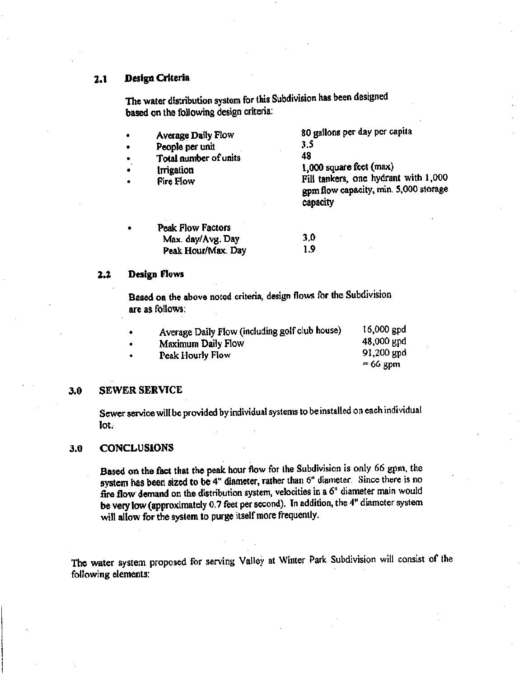### Design Criteria 2.1

The water distribution system for this Subdivision has been designed based on the following design criteria:

| Average Daily Flow<br>People per unit<br>Total number of units<br>Irrigation<br>Fire Flow | 80 gallons per day per capita<br>3.5<br>48<br>1,000 square feet (max)<br>Fill tankers, one hydrant with 1,000<br>gpm flow capacity, min. 5,000 storage<br>capacity |
|-------------------------------------------------------------------------------------------|--------------------------------------------------------------------------------------------------------------------------------------------------------------------|
| <b>Peak Flow Factors</b><br>Max. day/Avg. Day                                             | 3.0                                                                                                                                                                |

1.9

#### Design Flows 2.2

Based on the above noted criteria, design flows for the Subdivision are as follows:

Peak Hour/Max. Day

| Average Daily Flow (including golf club house) | $16,000$ gpd |
|------------------------------------------------|--------------|
| Maximum Daily Flow                             | 48,000 gpd   |
| Peak Hourly Flow                               | $91,200$ gpd |
|                                                | $=66$ gpm    |

### 3.0 SEWER SERVICE

Sewer service will be provided by individual systems to be installed on each individual lot.

### 3.0 CONCLUSIONS

Based on the fact that the peak hour flow for the Subdivision is only <sup>66</sup> gpm, the system has been sized to be 4" diameter, rather than 6" diameter. Since there is no fire flow demand on the distribution system, velocities in <sup>a</sup> 6" diameter main would be very low (approximately 0.7 feet per second). In addition, the 4" diameter system will allow for the system to purge itself more frequently.

The water system proposed For serving Valley at Winter Park Subdivision will consist of the following elements: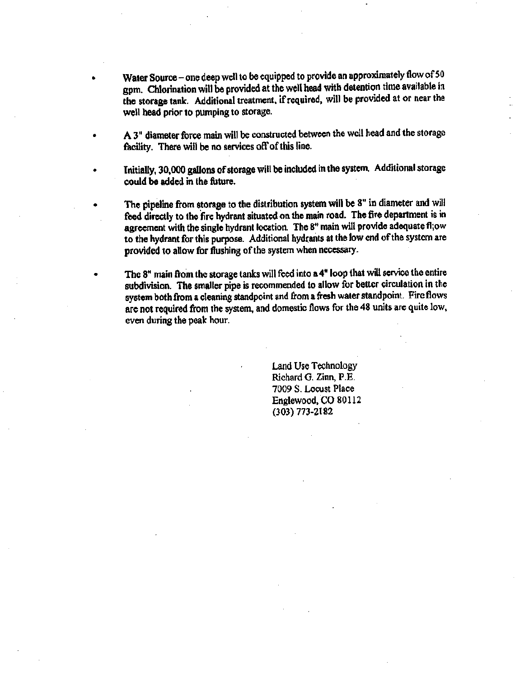- Water Source one deep well to be equipped to provide an approximately flow of 50 gpm. Chlorination will be provided at the well head with detention time available in the storage tank. Additional treatment, if required, will be provided at or near the well head prior to pumping to storage.
- A3" diameter force main will be constructed between the well head and the storage facility. There will be no services off of this line.
- Initially, 30,000 gallons of storage will be included in the system. Additional storage could be added in the fhture.
	- The pipeline from storage to the distribution system will be 8" in diameter and will feed directly to the fire hydrant situated on the main road. The fire department is in agreemen<sup>t</sup> with the single hydrant location. The 8" main will provide adequate fl;ow to the hydrant for this purpose. Additional hydrants at the low end ofthe system are provided to allow for flushing of the system when necessary.
	- The 8" main from the storage tanks will feed into <sup>a</sup> 4" loop that will service the entire subdivision. The smaller pipe is recommended to allow for better circulation in the system both from <sup>a</sup> cleaning standpoint and from <sup>a</sup>fresh water standpoint. Fire flows are not required from the system, and domestic flows for the <sup>48</sup> units are quite low, even during the peak hour.

Land Use Technology Richard G. Zinn, P.E. 7009 S. Locust Place Englewood, CO 80112 (303) 773-2182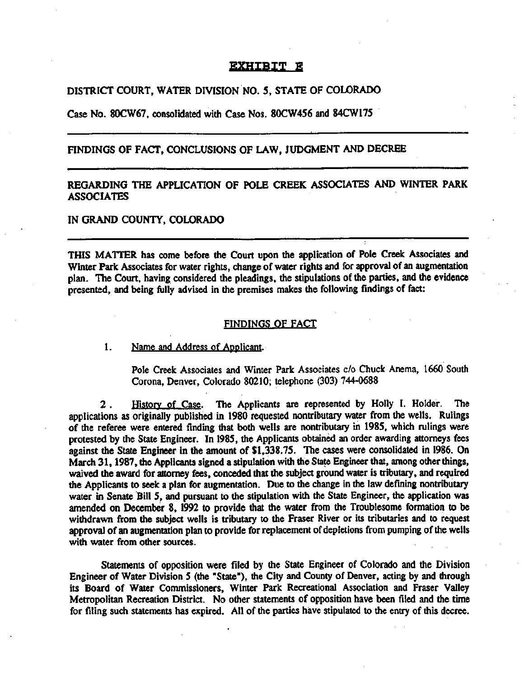### EXHIBIT E

### DISTRICT COURT, WATER DIVISION NO. 5, STATE OF COLORADO

Case No. 80CW67, consolidated with Case Nos. 80CW456 and 84CW175

### FINDINGS OF FACT, CONCLUSIONS OF LAW, JUDGMENT AND DECREE

### REGARDING THE APPLICATION OF POLE CREEK ASSOCIATES AND WINTER PARK ASSOCIATES

### IN GRAND COUNTY, COLORADO

THIS MATTER has come before the Court upon the application of Pole Creek Associates and Winter Park Associates for water rights, change of water rights and for approval of an augmentation plan. The Court, having considered the pleadings, the stipulations of the parties, and the evidence presented, and being fully advised in the premises makes the following findings of fact:

### FINDINGS OF FACT

1. Name and Address of Applicant.

Pole Creek Associates and Winter Park Associates c/o Chuck Anema, 1660 South Corona, Denver, Colorado 80210; telephone (303) 744-0688

History of Case. The Applicants are represented by Holly I. Holder. The applications as originally published in 1980 requested nontributary water from the wells. Rulings of the referee were entered finding that both wells are nontributary in 1985, which rulings were protested by the State Engineer. In 1985, the Applicants obtained an order awarding attorneys fees against the State Engineer in the amount of \$1,338.75. The cases were consolidated in 1986. On March 31, 1987, die Applicants signed <sup>a</sup> stipulation with the State Engineer that, among other things, waived the award for attorney fees, conceded that the subject ground water is tributary, and required the Applicants to seek <sup>a</sup> plan for augmentation. Due to die change in the law defining nontributary water in Senate Bill 5, and pursuant to the stipulation with the State Engineer, the application was amended on December 8, 1992 to provide that the water from the Troublesome formation to be withdrawn from the subject wells is tributary to the Fraser River or its tributaries and to request approval of an augmentation plan to provide for replacement of depletions from pumping of the wells with water from other sources. 2 .

Statements of opposition were filed by the State Engineer of Colorado and the Division Engineer of Water Division <sup>5</sup> (the "State"), the City and County of Denver, acting by and through its Board of Water Commissioners, Winter Park Recreational Association and Fraser Valley Metropolitan Recreation District. No other statements of opposition have been filed and the time for filing such statements has expired. All of the parties have stipulated to the entry of this decree.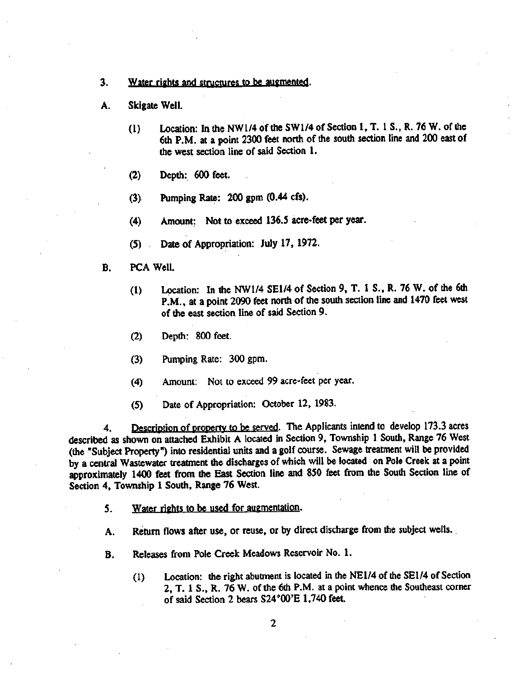- 3. Water rights and structures to be augmented.
- A. Skigate Well.
	- Location: In the NW1/4 of the SW1/4 of Section 1, T. 1 S., R. 76 W. of the 6th P.M. at <sup>a</sup> point <sup>2300</sup> feet north of the south section line and <sup>200</sup> east of the west section line of said Section 1. (1)
	- (2) Depth: 600 feet.
	- (3) Pumping Rate: <sup>200</sup> gpm (0.44 cfs).
	- (4) Amount; Not to exceed 136.5 acre-feet per year.
	- (5) Date of Appropriation: July 17, 1972.
- B. PCA Well.
	- Location: In the NW1/4 SE1/4 of Section 9, T. 1 S., R. 76 W. of the 6th P.M., at <sup>a</sup> point <sup>2090</sup> feet north of the south section line and <sup>1470</sup> feet west of the east section line of said Section 9. (1)
	- (2) Depth: <sup>800</sup> feet.
	- Pumping Rate: <sup>300</sup> gpm. (3)
	- Amount: Not to exceed <sup>99</sup> acre-feet per year. (4)
	- (5) Date of Appropriation: October 12, 1983.

4. Description of property to be served. The Applicants intend to develop 173.3 acres described as shown on attached Exhibit <sup>A</sup> located in Section 9, Township <sup>1</sup> South, Range <sup>76</sup> West (the "Subject Property") into residential units and <sup>a</sup> golf course. Sewage treatment will be provided by <sup>a</sup> central Wastewater treatment the discharges of which will be located on Pole Creek at <sup>a</sup> point approximately <sup>1400</sup> feet from the East Section line and <sup>850</sup> feet from the South Section line of Section 4, Township 1 South, Range 76 West.

- 5. Water rights to be used for augmentation.
- A. Return flows after use, or reuse, or by direct discharge from the subject wells.
- B. Releases from Pole Creek Meadows Reservoir No. 1.
	- (1) Location: the right abutment is located in the NE1/4 of the SE1/4 of Section 2, T. 1 S., R. 76 W. of the 6th P.M. at a point whence the Southeast corner of said Section 2 bears S24°00'E 1,740 feet.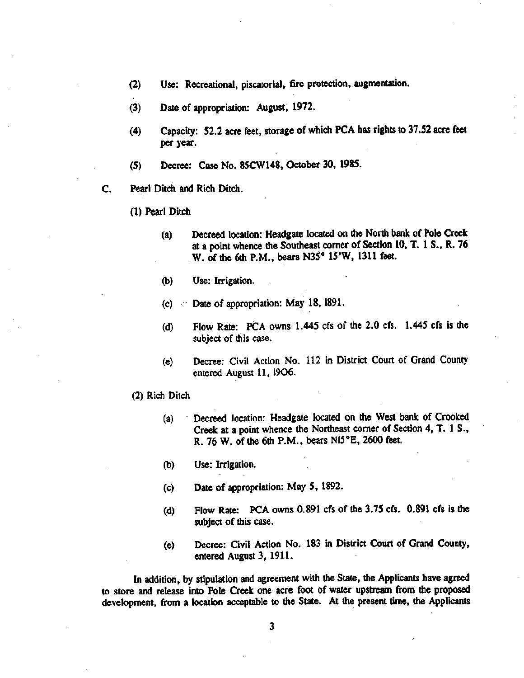- (2) Use: Recreational, piscatorial, fire protection, augmentation.
- (3) Date of appropriation: August, 1972.
- (4) Capacity: 52.2 acre feet, storage of which PCA has rights to 37.52 acre feet per year.
- (5) Decree: Case No. 85CW148, October 30, 1985.
- C. Pearl Ditch and Rich Ditch.
	- (1) Pearl Ditch
		- Decreed location: Headgate located on the North bank of Pole Creek at a point whence the Southeast corner of Section 10, T. 1 S., R. 76 W. of the 6th P.M., bears N35° 15'W, 1311 feet. (a)
		- (b) Use: Irrigation.
		- (c) Date of appropriation: May 18, 1891.
		- (d) Flow Rate: PCA owns 1.445 cfs of the 2.0 cfs. 1.445 cfs is the subject of this case.
		- Decree: Civil Action No. 112 in District Court of Grand County entered August 11, 1906. (e)
	- (2) Rich Ditch
		- Decreed location: Headgate located on the West bank of Crooked Creek at a point whence the Northeast corner of Section 4, T. 1 S., R. 76 W. of the 6th P.M., bears N15°E, 2600 feet. (a)
		- (b) Use: Irrigation.
		- (c) Date of appropriation: May 5, 1892.
		- (d) Flow Rate: PCA owns 0.891 cfs of the 3.75 cfs. 0.891 cfs is the subject of this case.
		- (e) Decree: Civil Action No. <sup>183</sup> in District Court of Grand County, entered August 3, 1911.

In addition, by stipulation and agreemen<sup>t</sup> with the State, the Applicants have agreed to store and release into Pole Creek one acre foot of water upstream from the proposed development, from <sup>a</sup> location acceptable to the State. At the present time, the Applicants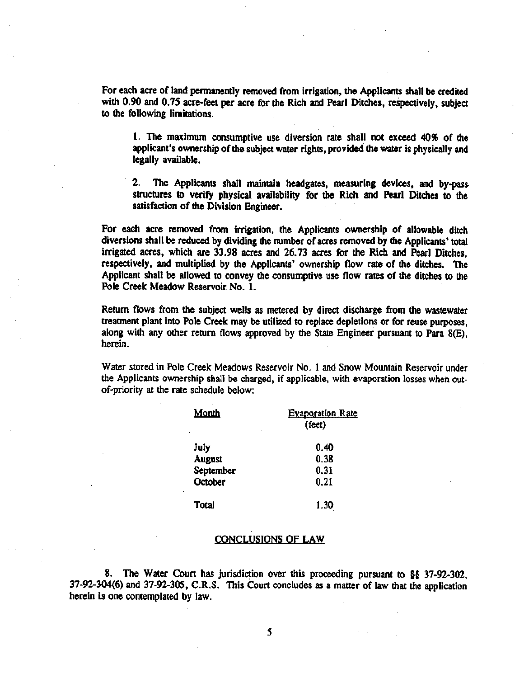For each acre of land permanently removed from irrigation, the Applicants shall be credited with 0.90 and 0.7S acre-feet per acre for the Rich and Pearl Ditches, respectively, subject to the following limitations.

1. The maximum consumptive use diversion rate shall not exceed 40% of the applicant's ownership of the subject water rights, provided the water is physically and legally available.

2. The Applicants shall maintain headgates, measuring devices, and by-pass structures to verify physical availability for the Rich and Pearl Ditches to the satisfaction of the Division Engineer.

For each acre removed from irrigation, the Applicants ownership of allowable ditch diversions shall be reduced by dividing the number of acres removed by die Applicants' total irrigated acres, which are 33.98 acres and 26.73 acres for the Rich and Pearl Ditches, respectively, and multiplied by the Applicants' ownership flow rate of the ditches. The Applicant shall be allowed to convey the consumptive use flow rates of the ditches to the Pole Creek Meadow Reservoir No, 1.

Return flows from the subject wells as metered by direct discharge from the wastewater treatment plant into Pole Creek may be utilized to replace depletions or for reuse purposes, along with any other return flows approved by the State Engineer pursuant to Para 8(E), herein.

Water stored in Pole Creek Meadows Reservoir No. 1 and Snow Mountain Reservoir under the Applicants ownership shall be charged, if applicable, with evaporation losses when outof-priority at the rate schedule below:

| <b>Month</b><br>٠ | <b>Evaporation Rate</b><br>(feet) |
|-------------------|-----------------------------------|
| July              | 0.40                              |
| <b>August</b>     | 0.38                              |
| September         | 0.31                              |
| October           | 0.21                              |
| <b>Total</b>      | 1.30                              |

### CONCLUSIONS OF LAW

8. The Water Court has jurisdiction over this proceeding pursuant to §§ 37-92-302, 37-92-304(6) and 37-92-305, C.R.S. This Court concludes as <sup>a</sup> matter of law that the application herein is one contemplated by law.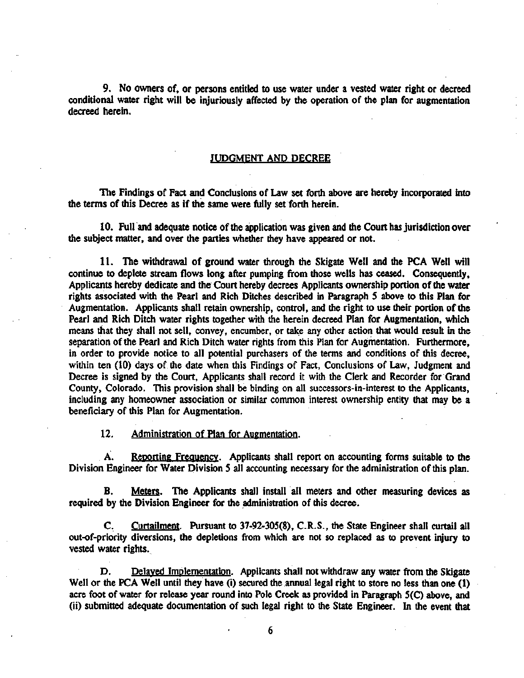9. No owners of, or persons entitled to use water under a vested water right or decreed conditional water right will be injuriously affected by the operation of the plan for augmentation decreed herein.

### JUDGMENT AND DECREE

The Findings of Fact and Conclusions of Law set forth above are hereby incorporated into the terms of this Decree as if the same were fully set forth herein.

10. Full and adequate notice of the application was given and the Court has jurisdiction over the subject matter, and over the parties whether they have appeared or not.

11. The withdrawal of ground water through the Skigate Well and the PCA Well will continue to deplete stream flows long after pumping from those wells has ceased. Consequently, Applicants hereby dedicate and the Court hereby decrees Applicants ownership portion of the water rights associated with the Pearl and Rich Ditches described in Paragraph 5 above to this Plan for Augmentation. Applicants shall retain ownership, control, and the right to use their portion of the Pearl and Rich Ditch water rights together with the herein decreed Plan for Augmentation, which means that they shall not sell, convey, encumber, or take any other action that would result in the separation of the Pearl and Rich Ditch water rights from this Plan for Augmentation. Furthermore, in order to provide notice to all potential purchasers of the terms and conditions of this decree, within ten (10) days of the date when this Findings of Fact, Conclusions of Law, Judgment and Decree is signed by the Court, Applicants shall record it with the Clerk and Recorder for Grand County, Colorado. This provision shall be binding on all successors-in-interest to the Applicants, including any homeowner association or similar common interest ownership entity that may be a beneficiary of this Plan for Augmentation.

12. Administration of Plan for Augmentation.

A. Reporting Frequency. Applicants shall report on accounting forms suitable to the Division Engineer for Water Division 5 ail accounting necessary for the administration of this plan.

Meters. The Applicants shall install all meters and other measuring devices as required by the Division Engineer for the administration of this decree. B.

Curtailment. Pursuant to 37-92-305(8), C.R.S., the State Engineer shall curtail all out-of-priority diversions, the depletions from which are not so replaced as to prevent injury to vested water rights. C.

D. Delayed Implementation. Applicants shall not withdraw any water from the Skigate Well or the PCA Well until they have (i) secured the annual legal right to store no less than one (1) acre foot of water for release year round into Pole Creek as provided in Paragraph 5(C) above, and (ii) submitted adequate documentation of such legal right to the State Engineer. In the event that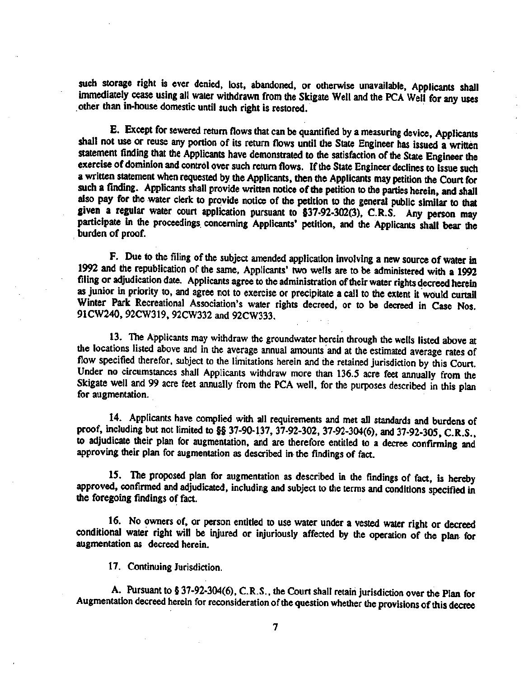such storage right is ever denied, lost, abandoned, or otherwise unavailable, Applicants shall immediately cease using ail water withdrawn from the Skigate Well and the PCA Well for any uses other than in-house domestic until such right is restored.

E. Except for sewered return flows that can be quantified by <sup>a</sup> measuring device, Applicants shall not use or reuse any portion of its return flows until the State Engineer has issued <sup>a</sup> written statement finding that the Applicants have demonstrated to the satisfaction of the State Engineer the exercise of dominion and control over such return flows. If the State Engineer declines to issue such <sup>a</sup> written statement when requested by the Applicants, then the Applicants may petition the Court for such <sup>a</sup> finding. Applicants shall provide written notice of the petition to the parties herein, and shall also pay for the water clerk to provide notice of the petition to the general public similar to that given <sup>a</sup> regular water court application pursuant to \$37-92-302(3), C.R.S. Any person may participate in the proceedings concerning Applicants' petition, and die Applicants shall bear die burden of proof.

F. Due to the filing of the subject amended application involving <sup>a</sup> new source of water in <sup>1992</sup> and the republication of the same, Applicants' two wells are to be administered with <sup>a</sup> <sup>1992</sup> filing or adjudication date. Applicants agree to the administration of their water rights decreed herein as junior in priority to, and agree not to exercise or precipitate <sup>a</sup> call to the extent it would curtail Winter Park Recreational Association's water rights decreed, or to be decreed in Case Nos. 91CW240, 92CW319, 92CW332 and 92CW333.

13. The Applicants may withdraw the groundwater herein through the wells listed above at the locations listed above and in the average annual amounts and at the estimated average rates of flow specified therefor, subject to the limitations herein and the retained jurisdiction by this Court. Under no circumstances shall Applicants withdraw more than 136.5 acre feet annually from the Skigate well and <sup>99</sup> acre feet annually from the PCA well, for the purposes described in this plan for augmentation.

14. Applicants have complied with all requirements and met all standards and burdens of proof, including but not limited to §§ 37-90-137, 37-92-302, 37-92-304(6), and 37-92-305, C.R.S., »to adjudicate their plan for augmentation, and are therefore entitled to <sup>a</sup> decree confirming and approving their plan for augmentation as described in the findings of fact.

15. The proposed plan for augmentation as described in the findings of fact, is hereby approved, confirmed and adjudicated, including and subject to the terms and conditions specified in the foregoing findings of fact.

Ib. No owners of, or person entitled to use water under a vested water right or decreed conditional water right will be injured or injuriously affected by the operation of the plan for augmentation as decreed herein.

17. Continuing Jurisdiction.

A. Pursuant to § 37-92-304(6), C.R.S., the Court shall retain jurisdiction over the Plan for Augmentation decreed herein for reconsideration of the question whether the provisions of this decree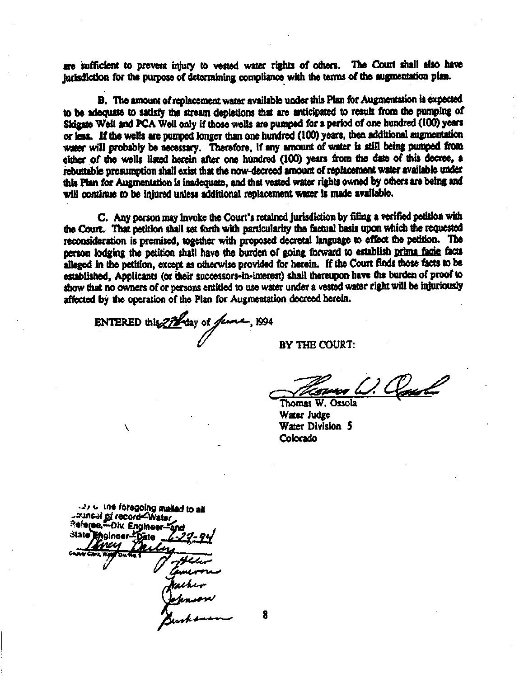are sufficient to prevent injury to vested water rights of others. The Court shall also have jurisdiction for the purpose of determining compliance with the terms of the augmentation plan.

B. The amount of replacement water available under this Plan for Augmentation is expected to be adequate to satisfy foe stream depletions that are anticipated to result from the pumping of Skigate Well and PCA Well only if those wells are pumped for <sup>a</sup> period of one hundred (100) years or less. Iffoe wells are pumped longer than one hundred (100) years, then additional augmentation water will probably be necessary. Therefore, if any amount of water is still being pumped from either of the wells listed herein after one hundred (100) years from the date of this decree, a rebuttable presumption shall exist that the now-decreed amount of replacement water available under this Plan for Augmentation is inadequate, and that vested water rights owned by others are being and will continue to be injured unless additional replacement water is made available.

C. Any person may invoke the Court's retained jurisdiction by filing a verified petition with the Court. That petition shall set forth with particularity the factual basis upon which the requested reconsideration is premised, together with proposed decretal language to effect the petition. The person lodging the petition shall have the burden of going forward to establish prima facie facts alleged in the petition, except as otherwise provided for herein. If the Court finds those facts to be established, Applicants (or their successors-in-interest) shall thereupon have the burden of proof to show that no owners of or persons entitled to use water under a vested water right will be injuriously affected by the operation of the Plan for Augmentation decreed herein.

ENTERED this  $ZH$  day of funce, 1994

BY THE COURT:

os (J. Classta

Thomas W. Ossola Water Judge Water Division 5 Colorado

-V ° foregoing mailed to an saunsaf pi record Water 3tate<sup>r</sup>Efigineer-O **Water Dates of**  $\boldsymbol{\mu}$ ihir $\boldsymbol{\mu}$ 4\*\* \* 8

V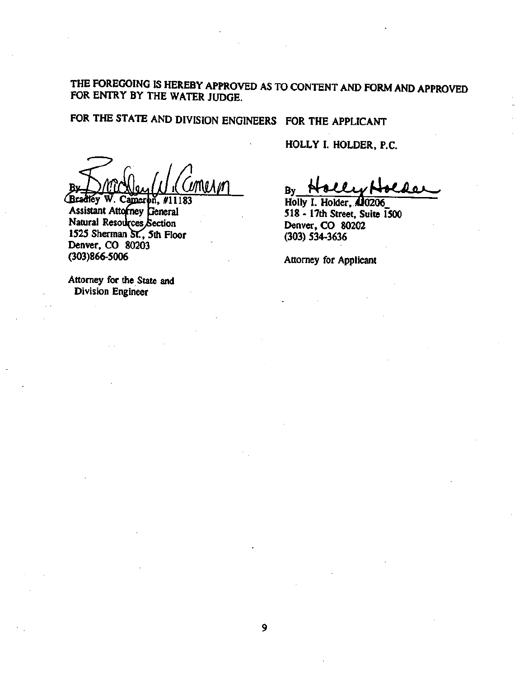THE FOREGOING IS HEREBY APPROVED AS TO CONTENT AND FORM AND APPROVED FOR ENTRY BY THE WATER JUDGE.

FOR THE STATE AND DIVISION ENGINEERS FOR THE APPLICANT

 $\frac{1}{2}$  By

Bradley W. Cameron, #11183 Assistant Attorney General Natural Resources Section 1525 Sherman SC, 5th Floor Denver, CO 80203 (303)866-5006 Attorney for Applicant

Attorney for the State and Division Engineer

HOLLY I. HOLDER, P.C.

Holly I. Holder, **(10206** 518 - 17th Street, Suite 1500 Denver, CO 80202 (303) 534-3636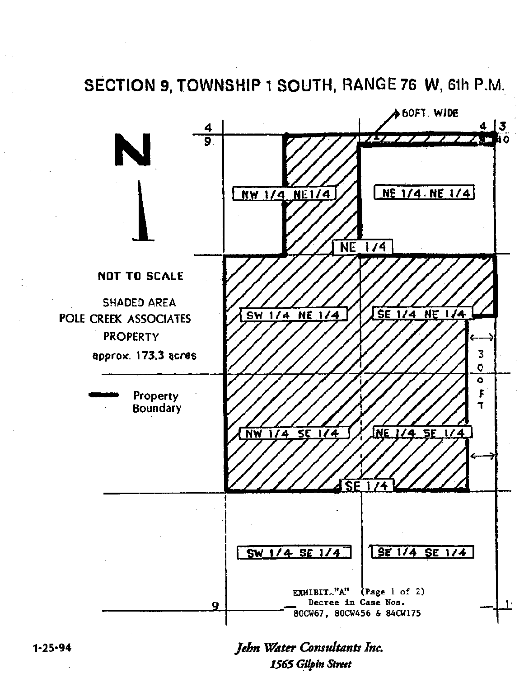SECTION 9, TOWNSHIP 1 SOUTH, RANGE 76 W, 6th P.M.

![](_page_38_Figure_1.jpeg)

Jehn Water Consultants Inc. 1565 Gilpin Street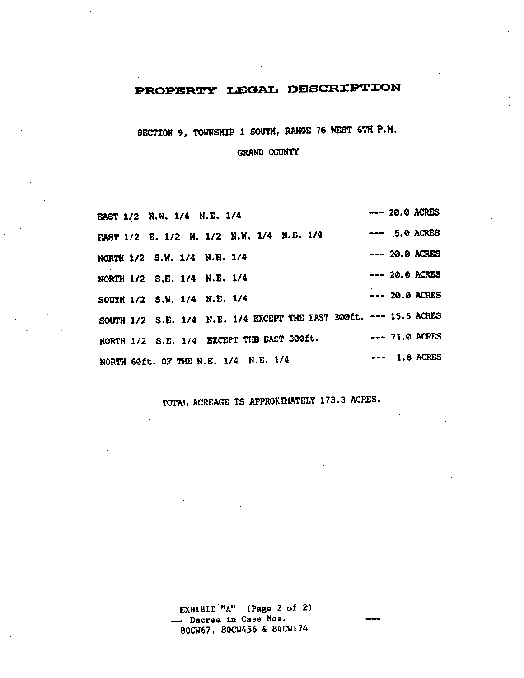## PROPERTY LEGAL DESCRIPTION

SECTION 9, TOWNSHIP <sup>1</sup> SOUTH, RANGE <sup>76</sup> WEST 6TH P.M.

GRAND COUNTY

| <b>EAST 1/2 N.W. 1/4 N.E. 1/4</b>         |  |  |  |  |                                                                   |  | $--- 20.0$ ACRES |  |
|-------------------------------------------|--|--|--|--|-------------------------------------------------------------------|--|------------------|--|
|                                           |  |  |  |  | EAST 1/2 E. 1/2 W. 1/2 N.W. 1/4 N.E. 1/4 --- 5.0 ACRES            |  |                  |  |
| NORTH 1/2 S.W. 1/4 N.E. 1/4               |  |  |  |  |                                                                   |  | $--- 20.0$ ACRES |  |
| NORTH 1/2 S.E. 1/4 N.E. 1/4               |  |  |  |  |                                                                   |  | $--- 20.0$ ACRES |  |
| SOUTH 1/2 S.W. 1/4 N.E. 1/4               |  |  |  |  |                                                                   |  | $--- 20.0$ ACRES |  |
|                                           |  |  |  |  | SOUTH 1/2 S.E. 1/4 N.E. 1/4 EXCEPT THE EAST 300ft. --- 15.5 ACRES |  |                  |  |
| NORTH 1/2 S.E. 1/4 EXCEPT THE EAST 300ft. |  |  |  |  | $--- 71.0$ ACRES                                                  |  |                  |  |
| NORTH 60ft. OF THE N.E. 1/4 N.E. 1/4      |  |  |  |  | $- - 1.8$ ACRES                                                   |  |                  |  |

TOTAL ACREAGE IS APPROXDIATELY 173.3 ACRES.

EXHIBIT "A" (Page 2 of 2) — Decree in Case Nos. 80CW67, 80CW456 & 84CW174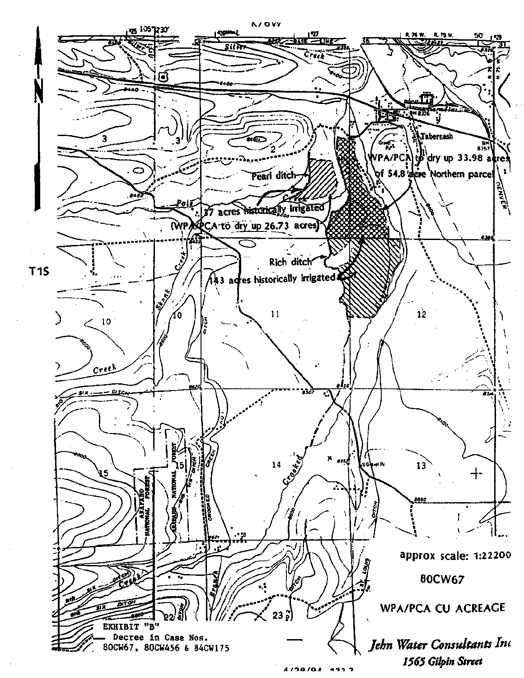![](_page_40_Figure_0.jpeg)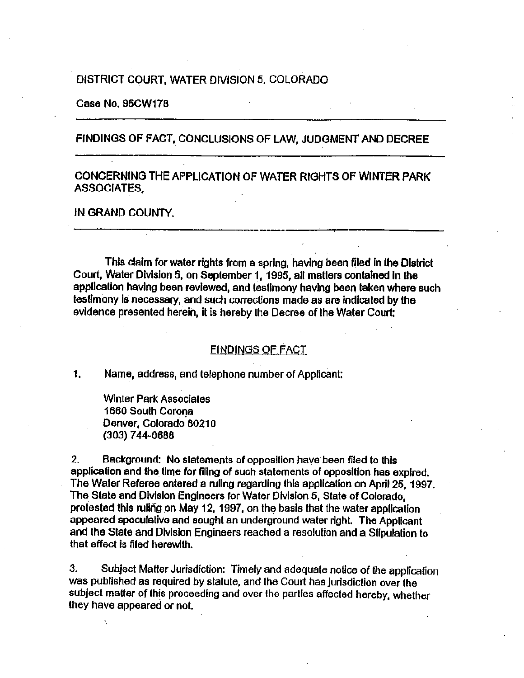### DISTRICT COURT, WATER DIVISION 5,COLORADO

Case No. 95CW178

### FINDINGS OF FACT, CONCLUSIONS OF LAW, JUDGMENT AND DECREE

### CONCERNING THE APPLICATION OF WATER RIGHTS OF WINTER PARK ASSOCIATES,

### IN GRAND COUNTY.

This claim for water rights from <sup>a</sup> spring, having been filed In the District Court, Water Division 5, on September 1, 1995, all matters contained in the application having been reviewed, and testimony having been taken where such testimony is necessary, and such corrections made as are indicated by the evidence presented herein, it is hereby the Decree of the Water Court:

### FINDINGS OF FACT

1. Name, address, and telephone number of Applicant:

Winter Park Associates 1660 South Corona Denver, Colorado 80210 (303) 744-0688

2. Background: No statements of opposition have been filed to this application and the time for filing of such statements of opposition has expired. The Water Referee entered <sup>a</sup> ruling regarding this application on April 25, 1997. The State and Division Engineers for Water Division 5, State of Colorado, protested this ruling on May 12, 1997, on the basis that the water application appeared speculative and sought an underground water right. The Applicant and the State and Division Engineers reached <sup>a</sup> resolution and <sup>a</sup> Stipulation to that effect is filed herewith.

Subject Matter Jurisdiction: Timely and adequate notice of the application was published as required by statute, and the Court has jurisdiction over the subject matter of this proceeding and over the parties affected hereby, whether they have appeared or not. 3.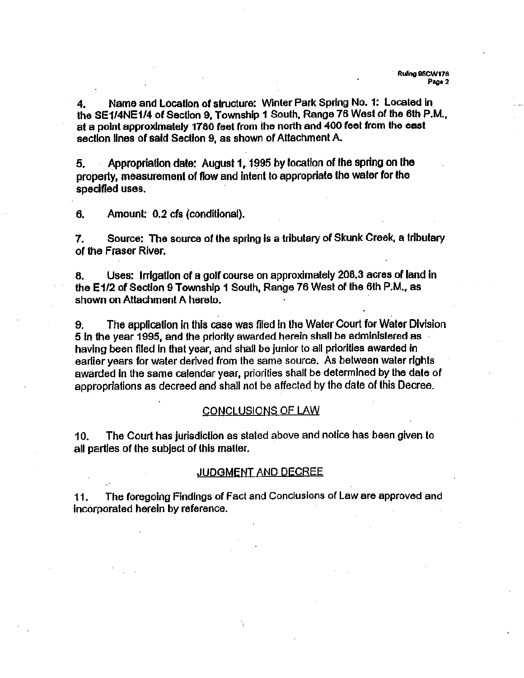4. Name and Location of structure: Winter Park Spring No. 1: Located in the SE1/4NE1/4 of Section 9, Township 1 South, Range 76 West of the 6th P.M., at <sup>a</sup> point approximately <sup>1780</sup> feet from the north and <sup>400</sup> feet from the east section lines of said Section 9, as shown of Attachment A.

5. Appropriation date: August <sup>1</sup> , <sup>1</sup> 995 by location of the spring on the property, measurement of flow and intent to appropriate the water for the specified uses.

6. Amount: 0.2 cfs (conditional).

Source: The source of the spring is <sup>a</sup> tributary of Skunk Creek, <sup>a</sup> tributary of the Fraser River. 7.

8. Uses: Irrigation of <sup>a</sup> golf course on approximately 208.3 acres of land In the E1/2 of Section 9 Township 1 South, Range 76 West of the 6th P.M., as shown on Attachment A hereto.

9. The application in this case was filed in the Water Court for Water Division <sup>5</sup> in the year 1995, and the priority awarded herein shall be administered as having been filed in that year, and shall be junior to all priorities awarded in earlier years for water derived from the same source. As between water rights awarded in the same calendar year, priorities shall be determined by the date of appropriations as decreed and shall not be affected by the date of this Decree.

### CONCLUSIONS OF LAW

10. The Court has jurisdiction as stated above and notice has been given to all parties of the subject of this matter.

### JUDGMENT AND DECREE

 $11.$ The foregoing Findings of Fact and Conclusions of Law are approved and incorporated herein by reference.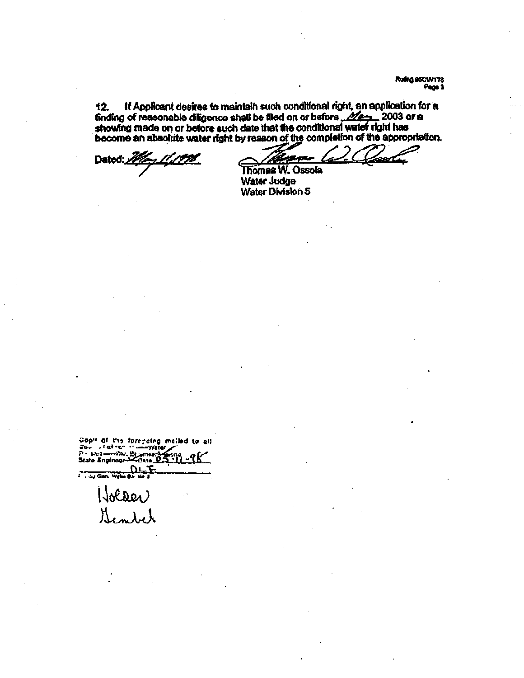Ruiling 95CW178 Pear<sub>3</sub>

AfL

12. If Applicant desires to maintain such conditional right, an application for a finding of reasonable diligence shall be filed on or before  $\mathscr{M}$ <sub>27</sub>. 2003 or a showing made on or before such date that the conditional water right has become an absolute water right by reason of the completion of the appropriation.<br>Dated: 2000. Thomas W. Ossola

Dated: *Mary 11,1776*<br>Thomas W. Ossola

Water Judge Water Division 5

Cop" 0» t'n ferrrcirfl moiled u» all Copy of the foregoing mail<br>Daw (fatres ://www.you 7>- ».!—->\*!.•. <sup>a</sup> State O^ ' <sup>l</sup> <sup>I</sup> <sup>5</sup>

 $\frac{11.1}{11.11}$  ... Holder<br>Sembet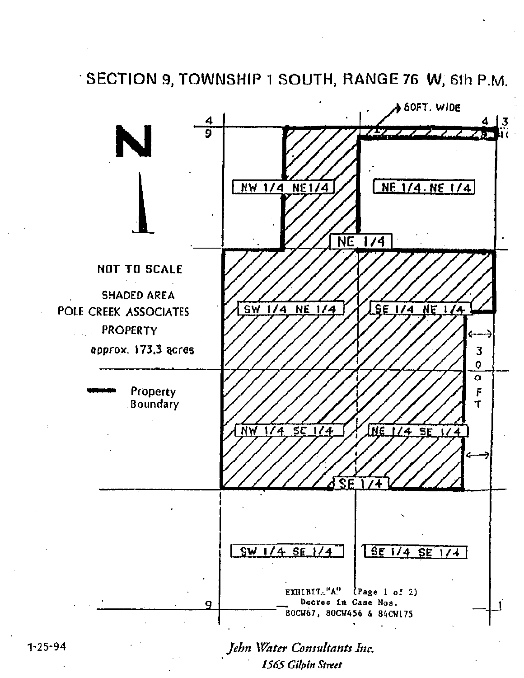SECTION 9, TOWNSHIP 1 SOUTH, RANGE 76 W, 61h P.M.

![](_page_44_Figure_1.jpeg)

Water Consultants Inc. 1565 Gilpin Street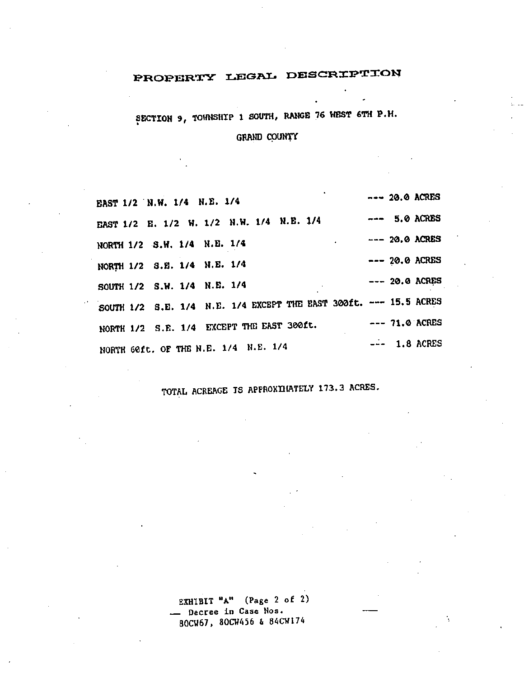## PROPERTY LEGAL DESCRIPTION

SECTION 9, TOWNSHIP <sup>1</sup> SOUTH, RANGE <sup>76</sup> WEST 6TH P.M.

GRAND COUNTY

| EAST 1/2 N.W. 1/4 N.E. 1/4                                        | --- 20.0 ACRES   |  |
|-------------------------------------------------------------------|------------------|--|
| EAST 1/2 E. 1/2 W. 1/2 N.W. 1/4 N.E. 1/4                          | $--- 5.0$ ACRES  |  |
| NORTH 1/2 S.W. 1/4 N.E. 1/4                                       | $--- 20.0$ ACRES |  |
| NORTH 1/2 S.E. 1/4 N.E. 1/4                                       | $--- 20.0$ ACRES |  |
| SOUTH 1/2 S.W. 1/4 N.E. 1/4                                       | $--- 20.0$ ACRES |  |
| SOUTH 1/2 S.E. 1/4 N.E. 1/4 EXCEPT THE EAST 300ft. --- 15.5 ACRES |                  |  |
| NORTH 1/2 S.E. 1/4 EXCEPT THE EAST 300ft.                         | $--- 71.0$ ACRES |  |
| NORTH GOft. OF THE N.E. 1/4 N.E. 1/4                              | $-$ - 1.8 ACRES  |  |

TOTAL ACREAGE IS APPROXIMATELY 173.3 ACRES.

EXHIBIT "A" (Page <sup>2</sup> of 2) - Decree in Case Nos. 8QCW67 , 80CW456 & 84CW174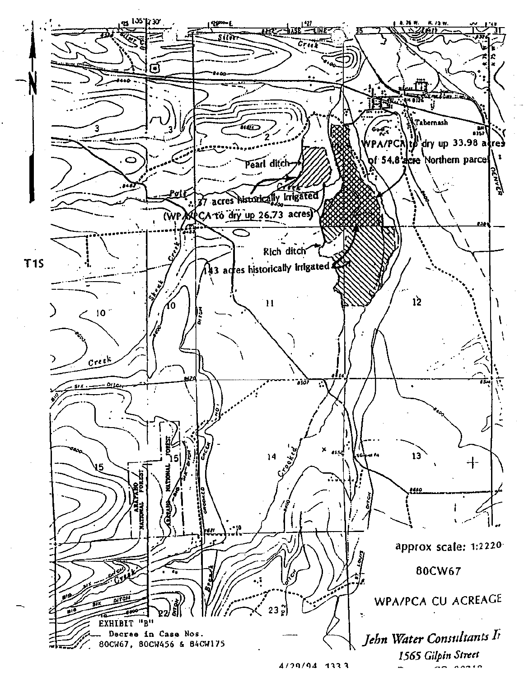![](_page_46_Figure_0.jpeg)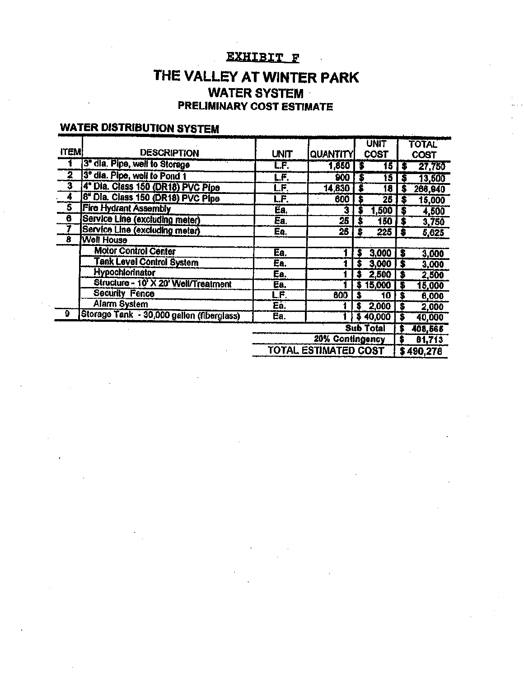## exhibit f .

## THE VALLEY AT WINTER PARK WATER SYSTEM PRELIMINARY COST ESTIMATE

## WATER DISTRIBUTION SYSTEM

|             |                                           |                           |                             | <b>UNIT</b>            |   | <b>TOTAL</b> |
|-------------|-------------------------------------------|---------------------------|-----------------------------|------------------------|---|--------------|
| <b>ITEM</b> | <b>DESCRIPTION</b>                        | <b>UNIT</b>               | <b>QUANTITY</b>             | <b>COST</b>            |   | <b>COST</b>  |
|             | 3" dia. Pipe, well to Storage             | L.F.                      | 1,850                       | $\overline{15}$<br>- 5 |   | 27,750       |
| 2           | 3" dia. Pipe, well to Pond 1              | $\overline{\mathsf{F}}$ . | 900                         | 15<br>Б                |   | 13,500       |
| 3           | 4" Dia. Class 150 (DR18) PVC Pipe         | LF.                       | 14,830                      | 18                     |   | 266,940      |
| 4           | 8" Dia. Class 150 (DR18) PVC Pipe         | L.F.                      | 600                         | 25                     |   | 15,000       |
| Ŝ           | <b>Fire Hydrant Assembly</b>              | Ea.                       | 3                           | ,500                   | 5 | 4,500        |
| 6           | Service Line (excluding meter)            | Ea.                       | 25                          | 150                    |   | 3,750        |
|             | Service Line (excluding meter)            | Ea,                       | $\overline{25}$             | 225<br>Б               | S | 5,625        |
| 8           | <b>Well House</b>                         |                           |                             |                        |   |              |
|             | <b>Motor Control Center</b>               | Ea.                       |                             | 3,000                  | s | 3,000        |
|             | <b>Tank Level Control System</b>          | Ea.                       |                             | 3,000                  |   | 3,000        |
|             | <b>Hypochlorinator</b>                    | Ea.                       |                             | 2,500                  | S | 2,500        |
|             | Structure - 10' X 20' Well/Treatment      | Ea.                       |                             | 15,000                 | s | 15,000       |
|             | <b>Security Fence</b>                     | LF.                       | 600                         | 10                     |   | 6,000        |
|             | Alarm System                              | Ea.                       |                             | 2,000<br>S             | s | 2,000        |
| 9           | Storage Tank - 30,000 gallon (fiberglass) | Ea.                       |                             | \$40,000               |   | 40,000       |
|             |                                           |                           |                             | <b>Sub Total</b>       |   | 408,565      |
|             |                                           | 20% Contingency           |                             |                        |   | 81,713       |
|             |                                           |                           | <b>TOTAL ESTIMATED COST</b> |                        |   | \$490,278    |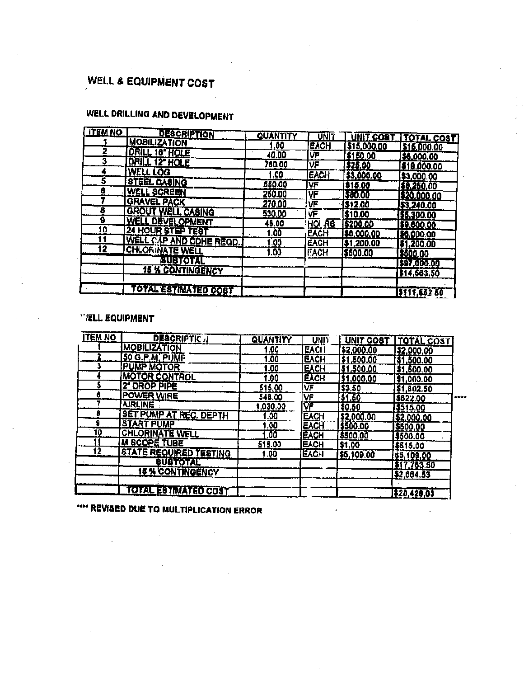## WELL & EQUIPMENT COST

### WELL DRILLING AND DEVELOPMENT  $\sim 10^{-1}$

| <b>ITEM NO</b> | <b>DESCRIPTION</b>       | <b>QUANTITY</b> | UNIT                    | UNIT COST                      | <b>TOTAL COST</b>  |
|----------------|--------------------------|-----------------|-------------------------|--------------------------------|--------------------|
|                | <b>MOBILIZATION</b>      | .00             | <b>EACH</b>             | \$15,000.00                    | \$16,000.00        |
| 2              | DRILL 18" HOLE           | 40.00           | IVF                     | \$150.00                       | \$6,000.00         |
| 3              | <b>DRILL 12" HOLE</b>    | 760.00          | VF                      | I\$25.00                       |                    |
|                | <b>WELL LOG</b>          | .00             | <b>IEACH</b>            | \$3,000.00                     | 519,000.00         |
| 5              | <b>STEEL CASING</b>      | 550.00          | VF                      | \$15.00                        | \$3,000.00         |
| 8              | <b>WELL SCREEN</b>       | 250.00          | $\overline{\mathsf{V}}$ | 580.00                         | \$0,250.00         |
|                | <b>GRAVEL PACK</b>       | 270.00          | 正                       | 512.00                         | <b>320,000.00</b>  |
| 5              | <b>GROUT WELL CASING</b> | 530.00          | VF                      | 510.00                         | \$3,240.00         |
| 9              | <b>WELL DEVELOPMENT</b>  | <u>46.00</u>    | $HOL$ RS                |                                | 1\$5,300.00        |
| 10             | <b>24 HOUR STEP TEST</b> | <u>.00</u>      | <b>EACH</b>             | <u> \$200.00</u><br>186,000.00 | 169.000.00         |
| l 1            | WELL CAP AND COHE REGD.  | .00             | EACH                    |                                | <u>  50,000.00</u> |
| Ï2             | <b>CHLORINATE WELL</b>   | 1.00            | <b>FACH</b>             | [\$1,200.00                    | \$1,200.00         |
|                | <b><i>BUBTOTAL</i></b>   |                 |                         | \$500.00                       | \$500.00           |
|                | <b>15 % CONTINGENCY</b>  |                 |                         |                                | \$97,000.00        |
|                |                          |                 |                         |                                | \$14,563.50        |
|                | TOTAL ESTIMATED COST     |                 |                         |                                | 1\$111,653 50      |

### '/ELL EQUIPMENT

| <b>TEM NO</b>   | <b>DESCRIPTIC J</b>           | QUANTITY | <b>UNIT</b> | UNIT COST  | <b>TOTAL COST</b> |     |
|-----------------|-------------------------------|----------|-------------|------------|-------------------|-----|
|                 | <b>MOBILIZATION</b>           | 00.1     | <b>EACI</b> | \$2,000.00 | \$2,000.00        |     |
|                 | 50 G.P.M. PLIMP               | 1.00     | <b>EACH</b> | \$1,500.00 | \$1,500.00        |     |
|                 | <b>PUMP MOTOR</b>             | 1.00     | EACH        | \$1,500.00 | \$1,600.00        |     |
|                 | <b>MOTOR CONTROL</b>          | 1.00     | <b>EXCH</b> | \$1,000.00 | \$1,000.00        |     |
|                 | 2" DROP PIPE                  | 515.00   | VF          | 53.50      | \$1,802.50        |     |
| σ               | <b>POWER WIRE</b>             | 548.00   | VF          | \$1.50     | \$822.00          | دەە |
|                 | <b>AIRLINE</b>                | 1,030.00 | VF          | \$0.50     | \$515.00          |     |
| õ               | <b>SET PUMP AT REC. DEPTH</b> | .00      | <b>EACH</b> | \$2,000.00 | \$2,000.00        |     |
| 9               | <b>START PUMP</b>             | .00      | <b>EACH</b> | \$500.00   | \$500.00          |     |
| 10              | <b>CHLORINATE WELL</b>        | .00      | EACH        | \$500.00   | 1\$500.00         |     |
|                 | <b>M SCOPE TUBE</b>           | 515.00   | <b>EACH</b> | \$1.00     | \$515.00          |     |
| $\overline{12}$ | <b>STATE REQUIRED TESTING</b> | f.00     | <b>EACH</b> | \$5,109.00 | \$5,109.00        |     |
|                 | <b>BUBTOTAL</b>               |          |             |            | \$17.763.50       |     |
|                 | <b>15 % CONTINGENCY</b>       |          |             |            | \$2,004.53        |     |
|                 | <b>TOTAL ESTIMATED COST</b>   |          |             |            | \$20,420.03       |     |

**\*\*\*\* REVISED DUE TO MULTIPLICATION ERROR**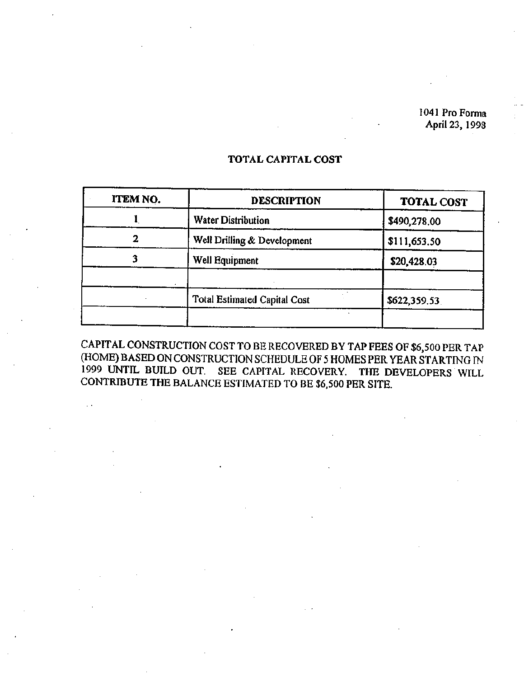1041 Pro Forma April 23, 1998

# ITEM NO.  $|$  DESCRIPTION TOTAL COST 1 Water Distribution **8490,278.00** 2 | Well Drilling & Development | \$111,653.50 3 Well Equipment \$20,428.03 Total Estimated Capital Cost **\$622,359.53**

### TOTAL CAPITAL COST

CAPITAL CONSTRUCTION COST TO BE RECOVERED BY TAP FEES OF \$6,500 PER TAP (HOME) BASED ON CONSTRUCTION SCHEDULE OF <sup>5</sup> HOMES PER YEAR STARTING IN <sup>1999</sup> UNTIL BUILD OUT. SEE CAPITAL RECOVERY. THE DEVELOPERS WILL CONTRIBUTE THE BALANCE ESTIMATED TO BE \$6,500 PER SITE.